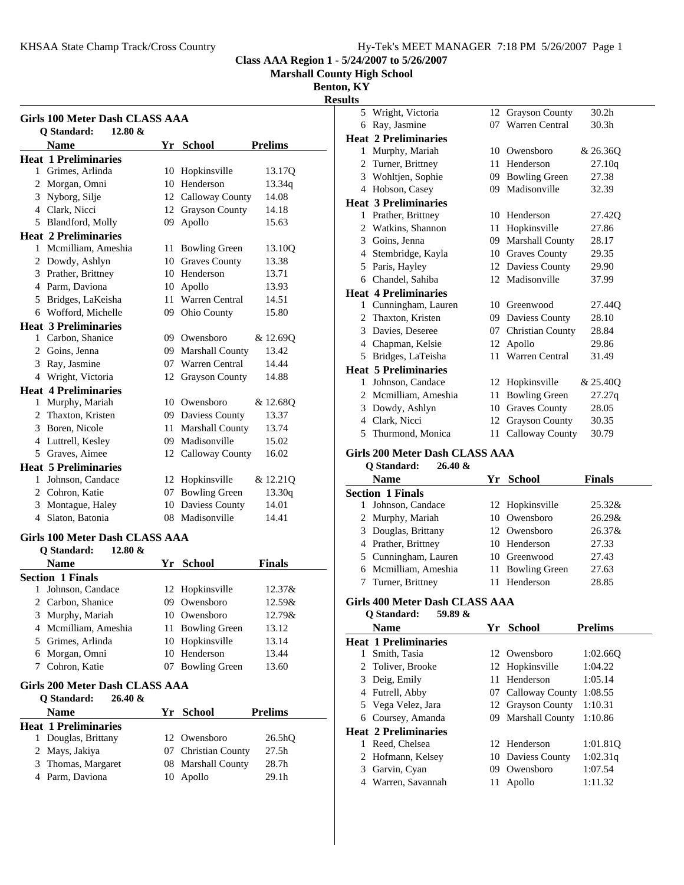**Marshall County High School**

**Benton, KY**

**Results**

| Girls 100 Meter Dash CLASS AAA     |    |                       |                |  |
|------------------------------------|----|-----------------------|----------------|--|
| O Standard:<br>$12.80 \&$          |    |                       |                |  |
| <b>Name</b>                        | Yr | <b>School</b>         | <b>Prelims</b> |  |
| <b>Heat 1 Preliminaries</b>        |    |                       |                |  |
| Grimes, Arlinda<br>1               | 10 | Hopkinsville          | 13.17Q         |  |
| Morgan, Omni<br>2                  |    | 10 Henderson          | 13.34q         |  |
| 3 Nyborg, Silje                    |    | 12 Calloway County    | 14.08          |  |
| 4 Clark, Nicci                     |    | 12 Grayson County     | 14.18          |  |
| 5<br>Blandford, Molly              | 09 | Apollo                | 15.63          |  |
| <b>Heat 2 Preliminaries</b>        |    |                       |                |  |
| Mcmilliam, Ameshia<br>$\mathbf{1}$ |    | 11 Bowling Green      | 13.10Q         |  |
| 2 Dowdy, Ashlyn                    |    | 10 Graves County      | 13.38          |  |
| Prather, Brittney<br>3             | 10 | Henderson             | 13.71          |  |
| 4 Parm, Daviona                    | 10 | Apollo                | 13.93          |  |
| 5 Bridges, LaKeisha                |    | 11 Warren Central     | 14.51          |  |
| 6 Wofford, Michelle                |    | 09 Ohio County        | 15.80          |  |
| <b>Heat 3 Preliminaries</b>        |    |                       |                |  |
| 1 Carbon, Shanice                  |    | 09 Owensboro          | & 12.69Q       |  |
| 2 Goins, Jenna                     |    | 09 Marshall County    | 13.42          |  |
| 3 Ray, Jasmine                     |    | 07 Warren Central     | 14.44          |  |
| Wright, Victoria<br>4              | 12 | <b>Grayson County</b> | 14.88          |  |
| <b>Heat 4 Preliminaries</b>        |    |                       |                |  |
| 1 Murphy, Mariah                   |    | 10 Owensboro          | & 12.68Q       |  |
| 2 Thaxton, Kristen                 |    | 09 Daviess County     | 13.37          |  |
| 3 Boren, Nicole                    |    | 11 Marshall County    | 13.74          |  |
| 4 Luttrell, Kesley                 |    | 09 Madisonville       | 15.02          |  |
| 5 Graves, Aimee                    |    | 12 Calloway County    | 16.02          |  |
| <b>Heat 5 Preliminaries</b>        |    |                       |                |  |
| Johnson, Candace<br>1.             | 12 | Hopkinsville          | & 12.21Q       |  |
| 2 Cohron, Katie                    | 07 | <b>Bowling Green</b>  | 13.30q         |  |
| 3 Montague, Haley                  |    | 10 Daviess County     | 14.01          |  |
| 4 Slaton, Batonia                  |    | 08 Madisonville       | 14.41          |  |
| Girls 100 Meter Dash CLASS AAA     |    |                       |                |  |

# **Girls 100 Meter Dash CLASS AAA**

| $12.80 \&$<br>O Standard: |                  |               |
|---------------------------|------------------|---------------|
| <b>Name</b>               | Yr School        | <b>Finals</b> |
| <b>Section 1 Finals</b>   |                  |               |
| Johnson, Candace          | 12 Hopkinsville  | 12.37&        |
| 2 Carbon, Shanice         | 09 Owensboro     | 12.59&        |
| 3 Murphy, Mariah          | 10 Owensboro     | 12.79&        |
| 4 Mcmilliam, Ameshia      | 11 Bowling Green | 13.12         |
| 5 Grimes, Arlinda         | 10 Hopkinsville  | 13.14         |
| Morgan, Omni<br>6         | 10 Henderson     | 13.44         |
| Cohron, Katie             | 07 Bowling Green | 13.60         |

### **Girls 200 Meter Dash CLASS AAA**

| $26.40 \&$<br><b>Q</b> Standard: |    |                     |                     |
|----------------------------------|----|---------------------|---------------------|
| <b>Name</b>                      |    | Yr School           | <b>Prelims</b>      |
| Heat 1 Preliminaries             |    |                     |                     |
| 1 Douglas, Brittany              |    | 12 Owensboro        | 26.5 <sub>h</sub> Q |
| 2 Mays, Jakiya                   |    | 07 Christian County | 27.5 <sub>h</sub>   |
| 3 Thomas, Margaret               |    | 08 Marshall County  | 28.7h               |
| 4 Parm, Daviona                  | 10 | Apollo              | 29.1 <sub>h</sub>   |

| 5              | Wright, Victoria            | 12 | <b>Grayson County</b>   | 30.2 <sub>h</sub>  |
|----------------|-----------------------------|----|-------------------------|--------------------|
| 6              | Ray, Jasmine                | 07 | Warren Central          | 30.3 <sub>h</sub>  |
|                | <b>Heat 2 Preliminaries</b> |    |                         |                    |
| 1              | Murphy, Mariah              | 10 | Owensboro               | & 26.36O           |
| 2              | Turner, Brittney            | 11 | Henderson               | 27.10q             |
|                | 3 Wohltjen, Sophie          | 09 | <b>Bowling Green</b>    | 27.38              |
| 4              | Hobson, Casey               | 09 | Madisonville            | 32.39              |
|                | <b>Heat 3 Preliminaries</b> |    |                         |                    |
| 1              | Prather, Brittney           | 10 | Henderson               | 27.42 <sub>O</sub> |
| 2              | Watkins, Shannon            | 11 | Hopkinsville            | 27.86              |
| 3              | Goins, Jenna                | 09 | <b>Marshall County</b>  | 28.17              |
| 4              | Stembridge, Kayla           | 10 | <b>Graves County</b>    | 29.35              |
| 5              | Paris, Hayley               | 12 | Daviess County          | 29.90              |
| 6              | Chandel, Sahiba             |    | 12 Madisonville         | 37.99              |
|                | <b>Heat 4 Preliminaries</b> |    |                         |                    |
| $\mathbf{1}$   | Cunningham, Lauren          | 10 | Greenwood               | 27.440             |
| 2              | Thaxton, Kristen            | 09 | Daviess County          | 28.10              |
| 3              | Davies, Deseree             | 07 | <b>Christian County</b> | 28.84              |
| 4              | Chapman, Kelsie             | 12 | Apollo                  | 29.86              |
| 5              | Bridges, LaTeisha           | 11 | Warren Central          | 31.49              |
|                | <b>Heat 5 Preliminaries</b> |    |                         |                    |
| 1              | Johnson, Candace            | 12 | Hopkinsville            | & 25.40Q           |
| $\mathfrak{D}$ | Mcmilliam, Ameshia          | 11 | <b>Bowling Green</b>    | 27.27q             |
|                | 3 Dowdy, Ashlyn             | 10 | <b>Graves County</b>    | 28.05              |
| 4              | Clark, Nicci                | 12 | <b>Grayson County</b>   | 30.35              |
| 5              | Thurmond, Monica            | 11 | <b>Calloway County</b>  | 30.79              |

## **Girls 200 Meter Dash CLASS AAA**

**Q Standard: 26.40 &**

| <b>Name</b>             | Yr School        | <b>Finals</b> |
|-------------------------|------------------|---------------|
| <b>Section 1 Finals</b> |                  |               |
| Johnson, Candace        | 12 Hopkinsville  | $25.32\&$     |
| 2 Murphy, Mariah        | 10 Owensboro     | $26.29\&$     |
| 3 Douglas, Brittany     | 12 Owensboro     | $26.37\&$     |
| 4 Prather, Brittney     | 10 Henderson     | 27.33         |
| 5 Cunningham, Lauren    | 10 Greenwood     | 27.43         |
| 6 Mcmilliam, Ameshia    | 11 Bowling Green | 27.63         |
| Turner, Brittney        | 11 Henderson     | 28.85         |

## **Girls 400 Meter Dash CLASS AAA**

**Q Standard: 59.89 &**

|   | <b>Name</b>                 |     | Yr School          | <b>Prelims</b> |
|---|-----------------------------|-----|--------------------|----------------|
|   | <b>Heat 1 Preliminaries</b> |     |                    |                |
|   | Smith, Tasia                |     | 12 Owensboro       | 1:02.660       |
|   | 2 Toliver, Brooke           |     | 12 Hopkinsville    | 1:04.22        |
| 3 | Deig, Emily                 | 11. | Henderson          | 1:05.14        |
|   | 4 Futrell, Abby             |     | 07 Calloway County | 1:08.55        |
|   | 5 Vega Velez, Jara          |     | 12 Grayson County  | 1:10.31        |
|   | 6 Coursey, Amanda           |     | 09 Marshall County | 1:10.86        |
|   | <b>Heat 2 Preliminaries</b> |     |                    |                |
|   | Reed, Chelsea               |     | 12 Henderson       | 1:01.810       |
|   | 2 Hofmann, Kelsey           |     | 10 Daviess County  | 1:02.31q       |
| 3 | Garvin, Cyan                | 09  | Owensboro          | 1:07.54        |
| 4 | Warren, Savannah            | 11- | Apollo             | 1:11.32        |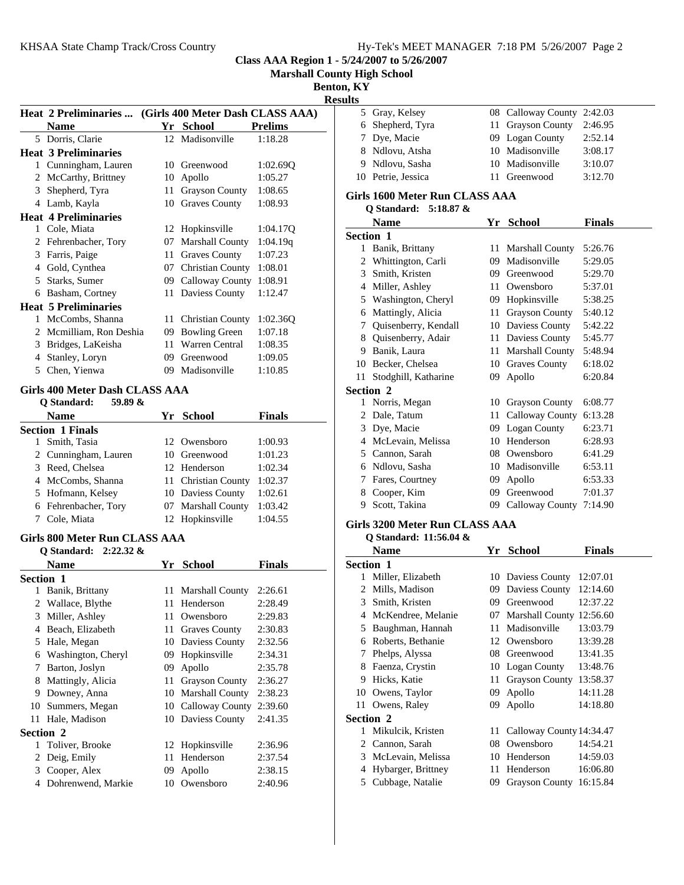**Marshall County High School**

**Benton, KY Results**

|   | Heat 2 Preliminaries  (Girls 400 Meter Dash CLASS AAA) |                 |                         |                |
|---|--------------------------------------------------------|-----------------|-------------------------|----------------|
|   | Name                                                   | Yr              | <b>School</b>           | <b>Prelims</b> |
|   | 5 Dorris, Clarie                                       | 12 <sub>1</sub> | Madisonville            | 1:18.28        |
|   | <b>Heat 3 Preliminaries</b>                            |                 |                         |                |
| 1 | Cunningham, Lauren                                     | 10              | Greenwood               | 1:02.69Q       |
| 2 | McCarthy, Brittney                                     | 10              | Apollo                  | 1:05.27        |
| 3 | Shepherd, Tyra                                         | 11              | <b>Grayson County</b>   | 1:08.65        |
| 4 | Lamb, Kayla                                            | 10              | <b>Graves County</b>    | 1:08.93        |
|   | <b>Heat 4 Preliminaries</b>                            |                 |                         |                |
| 1 | Cole, Miata                                            | 12              | Hopkinsville            | 1:04.17Q       |
| 2 | Fehrenbacher, Tory                                     | 07              | <b>Marshall County</b>  | 1:04.19q       |
| 3 | Farris, Paige                                          | 11              | <b>Graves County</b>    | 1:07.23        |
| 4 | Gold, Cynthea                                          | 07              | <b>Christian County</b> | 1:08.01        |
| 5 | Starks, Sumer                                          | 09              | Calloway County         | 1:08.91        |
| 6 | Basham, Cortney                                        | 11              | Daviess County          | 1:12.47        |
|   | <b>Heat 5 Preliminaries</b>                            |                 |                         |                |
| 1 | McCombs, Shanna                                        | 11              | Christian County        | 1:02.360       |
| 2 | Mcmilliam, Ron Deshia                                  | 09              | <b>Bowling Green</b>    | 1:07.18        |
| 3 | Bridges, LaKeisha                                      | 11              | Warren Central          | 1:08.35        |
| 4 | Stanley, Loryn                                         | 09              | Greenwood               | 1:09.05        |
| 5 | Chen, Yienwa                                           | 09              | Madisonville            | 1:10.85        |

## **Girls 400 Meter Dash CLASS AAA**

| 59.89 $\&$<br>O Standard: |     |                     |               |
|---------------------------|-----|---------------------|---------------|
| <b>Name</b>               | Yr. | School              | <b>Finals</b> |
| <b>Section 1 Finals</b>   |     |                     |               |
| Smith, Tasia<br>1         |     | 12 Owensboro        | 1:00.93       |
| 2 Cunningham, Lauren      |     | 10 Greenwood        | 1:01.23       |
| 3 Reed, Chelsea           |     | 12 Henderson        | 1:02.34       |
| 4 McCombs, Shanna         |     | 11 Christian County | 1:02.37       |
| 5 Hofmann, Kelsey         |     | 10 Daviess County   | 1:02.61       |
| 6 Fehrenbacher, Tory      |     | 07 Marshall County  | 1:03.42       |
| Cole, Miata               |     | 12 Hopkinsville     | 1:04.55       |

# **Girls 800 Meter Run CLASS AAA**

|                  | <b>O</b> Standard: 2:22.32 & |    |                        |               |
|------------------|------------------------------|----|------------------------|---------------|
|                  | <b>Name</b>                  | Yr | School                 | <b>Finals</b> |
| <b>Section 1</b> |                              |    |                        |               |
| 1                | Banik, Brittany              | 11 | <b>Marshall County</b> | 2:26.61       |
| 2                | Wallace, Blythe              | 11 | Henderson              | 2:28.49       |
| 3                | Miller, Ashley               | 11 | Owensboro              | 2:29.83       |
| 4                | Beach, Elizabeth             | 11 | Graves County          | 2:30.83       |
| 5                | Hale, Megan                  | 10 | Daviess County         | 2:32.56       |
| 6                | Washington, Cheryl           | 09 | Hopkinsville           | 2:34.31       |
| 7                | Barton, Joslyn               | 09 | Apollo                 | 2:35.78       |
| 8                | Mattingly, Alicia            | 11 | <b>Grayson County</b>  | 2:36.27       |
| 9                | Downey, Anna                 | 10 | <b>Marshall County</b> | 2:38.23       |
| 10               | Summers, Megan               | 10 | Calloway County        | 2:39.60       |
| 11               | Hale, Madison                |    | 10 Daviess County      | 2:41.35       |
| <b>Section 2</b> |                              |    |                        |               |
| 1.               | Toliver, Brooke              | 12 | Hopkinsville           | 2:36.96       |
| 2                | Deig, Emily                  | 11 | Henderson              | 2:37.54       |
| 3                | Cooper, Alex                 | 09 | Apollo                 | 2:38.15       |
| 4                | Dohrenwend, Markie           | 10 | Owensboro              | 2:40.96       |
|                  |                              |    |                        |               |

| 5 Gray, Kelsey     | 08 Calloway County 2:42.03 |         |
|--------------------|----------------------------|---------|
| 6 Shepherd, Tyra   | 11 Grayson County          | 2:46.95 |
| 7 Dye, Macie       | 09 Logan County            | 2:52.14 |
| 8 Ndlovu, Atsha    | 10 Madisonville            | 3:08.17 |
| 9 Ndlovu, Sasha    | 10 Madisonville            | 3:10.07 |
| 10 Petrie, Jessica | 11 Greenwood               | 3:12.70 |

## **Girls 1600 Meter Run CLASS AAA**

### **Q Standard: 5:18.87 &**

|           | Name                 | Yr | <b>School</b>          | Finals  |  |  |  |
|-----------|----------------------|----|------------------------|---------|--|--|--|
| Section 1 |                      |    |                        |         |  |  |  |
| 1         | Banik, Brittany      | 11 | <b>Marshall County</b> | 5:26.76 |  |  |  |
| 2         | Whittington, Carli   | 09 | Madisonville           | 5:29.05 |  |  |  |
| 3         | Smith, Kristen       | 09 | Greenwood              | 5:29.70 |  |  |  |
| 4         | Miller, Ashley       | 11 | Owensboro              | 5:37.01 |  |  |  |
| 5         | Washington, Cheryl   | 09 | Hopkinsville           | 5:38.25 |  |  |  |
| 6         | Mattingly, Alicia    | 11 | <b>Grayson County</b>  | 5:40.12 |  |  |  |
| 7         | Quisenberry, Kendall | 10 | Daviess County         | 5:42.22 |  |  |  |
| 8         | Quisenberry, Adair   | 11 | Daviess County         | 5:45.77 |  |  |  |
| 9         | Banik, Laura         | 11 | <b>Marshall County</b> | 5:48.94 |  |  |  |
| 10        | Becker, Chelsea      | 10 | <b>Graves County</b>   | 6:18.02 |  |  |  |
| 11        | Stodghill, Katharine | 09 | Apollo                 | 6:20.84 |  |  |  |
|           | <b>Section 2</b>     |    |                        |         |  |  |  |
| 1         | Norris, Megan        | 10 | <b>Grayson County</b>  | 6:08.77 |  |  |  |
| 2         | Dale, Tatum          | 11 | Calloway County        | 6:13.28 |  |  |  |
| 3         | Dye, Macie           | 09 | Logan County           | 6:23.71 |  |  |  |
| 4         | McLevain, Melissa    | 10 | Henderson              | 6:28.93 |  |  |  |
| 5         | Cannon, Sarah        | 08 | Owensboro              | 6:41.29 |  |  |  |
| 6         | Ndlovu, Sasha        | 10 | Madisonville           | 6:53.11 |  |  |  |
| 7         | Fares, Courtney      | 09 | Apollo                 | 6:53.33 |  |  |  |
| 8         | Cooper, Kim          | 09 | Greenwood              | 7:01.37 |  |  |  |
| 9         | Scott, Takina        | 09 | Calloway County        | 7:14.90 |  |  |  |

## **Girls 3200 Meter Run CLASS AAA**

#### **Q Standard: 11:56.04 &**

|                  | <b>Name</b>        | Yr  | <b>School</b>            | Finals   |
|------------------|--------------------|-----|--------------------------|----------|
| <b>Section 1</b> |                    |     |                          |          |
| 1                | Miller, Elizabeth  |     | 10 Daviess County        | 12:07.01 |
| 2                | Mills, Madison     | 09. | Daviess County           | 12:14.60 |
| 3                | Smith, Kristen     | 09. | Greenwood                | 12:37.22 |
| 4                | McKendree, Melanie |     | 07 Marshall County       | 12:56.60 |
| 5                | Baughman, Hannah   | 11  | Madisonville             | 13:03.79 |
| 6                | Roberts, Bethanie  | 12  | Owensboro                | 13:39.28 |
| 7                | Phelps, Alyssa     | 08  | Greenwood                | 13:41.35 |
| 8                | Faenza, Crystin    |     | 10 Logan County          | 13:48.76 |
| 9                | Hicks, Katie       | 11. | <b>Grayson County</b>    | 13:58.37 |
| 10               | Owens, Taylor      | 09  | Apollo                   | 14:11.28 |
| 11               | Owens, Raley       | 09  | Apollo                   | 14:18.80 |
| Section 2        |                    |     |                          |          |
| 1                | Mikulcik, Kristen  | 11  | Calloway County 14:34.47 |          |
| 2                | Cannon, Sarah      | 08  | Owensboro                | 14:54.21 |
| 3                | McLevain, Melissa  | 10  | Henderson                | 14:59.03 |
| 4                | Hybarger, Brittney | 11  | Henderson                | 16:06.80 |
| 5                | Cubbage, Natalie   | 09  | <b>Grayson County</b>    | 16:15.84 |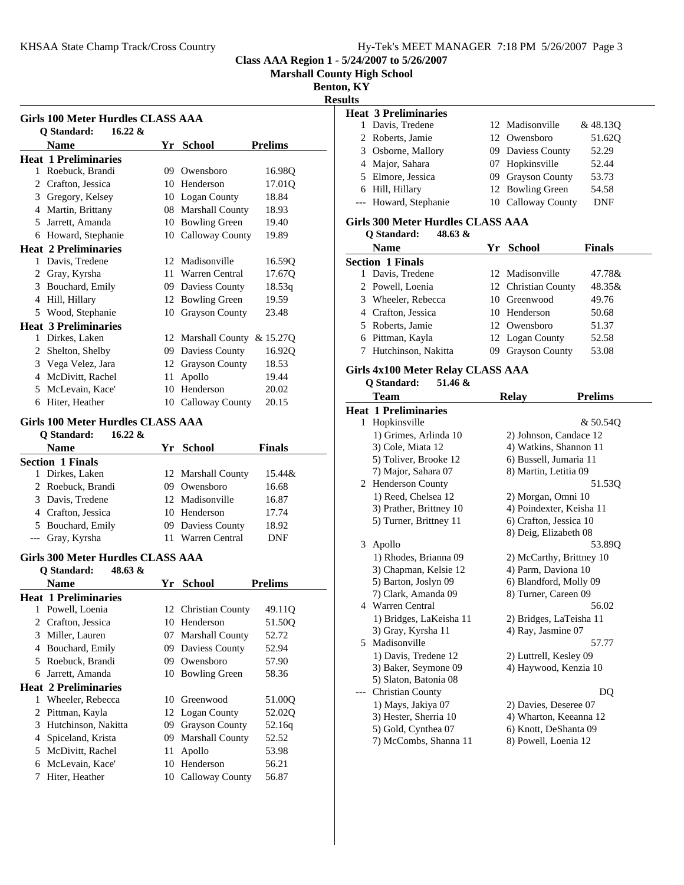**Marshall County High School**

**Benton, KY**

**Results**

|              | <b>Girls 100 Meter Hurdles CLASS AAA</b><br>$16.22 \&$<br>Q Standard: |    |                             |                |
|--------------|-----------------------------------------------------------------------|----|-----------------------------|----------------|
|              | <b>Name</b>                                                           |    | Yr School                   | <b>Prelims</b> |
|              | <b>Heat 1 Preliminaries</b>                                           |    |                             |                |
|              | 1 Roebuck, Brandi                                                     |    | 09 Owensboro                | 16.98Q         |
|              | 2 Crafton, Jessica                                                    |    | 10 Henderson                | 17.01Q         |
|              | 3 Gregory, Kelsey                                                     |    | 10 Logan County             | 18.84          |
|              | 4 Martin, Brittany                                                    |    | 08 Marshall County          | 18.93          |
|              | 5 Jarrett, Amanda                                                     |    | 10 Bowling Green            | 19.40          |
|              | 6 Howard, Stephanie                                                   |    | 10 Calloway County          | 19.89          |
|              | <b>Heat 2 Preliminaries</b>                                           |    |                             |                |
|              | 1 Davis. Tredene                                                      |    | 12 Madisonville             | 16.59Q         |
|              | 2 Gray, Kyrsha                                                        |    | 11 Warren Central           | 17.67Q         |
|              | 3 Bouchard, Emily                                                     |    | 09 Daviess County           | 18.53q         |
|              | 4 Hill, Hillary                                                       |    | 12 Bowling Green            | 19.59          |
|              | 5 Wood, Stephanie                                                     |    | 10 Grayson County           | 23.48          |
|              | <b>Heat 3 Preliminaries</b>                                           |    |                             |                |
|              | 1 Dirkes, Laken                                                       |    | 12 Marshall County & 15.27Q |                |
|              | 2 Shelton, Shelby                                                     |    | 09 Daviess County           | 16.92Q         |
|              | 3 Vega Velez, Jara                                                    |    | 12 Grayson County           | 18.53          |
|              | 4 McDivitt, Rachel                                                    | 11 | Apollo                      | 19.44          |
|              | 5 McLevain, Kace'                                                     |    | 10 Henderson                | 20.02          |
|              | 6 Hiter, Heather                                                      |    |                             | 20.15          |
|              |                                                                       |    | 10 Calloway County          |                |
|              | <b>Girls 100 Meter Hurdles CLASS AAA</b>                              |    |                             |                |
|              | $16.22 \&$<br>O Standard:                                             |    |                             |                |
|              | Name                                                                  |    | Yr School                   | Finals         |
|              | <b>Section 1 Finals</b>                                               |    |                             |                |
|              | 1 Dirkes, Laken                                                       |    | 12 Marshall County          | 15.44&         |
|              | 2 Roebuck, Brandi                                                     |    | 09 Owensboro                | 16.68          |
|              | 3 Davis, Tredene                                                      |    | 12 Madisonville             | 16.87          |
|              | 4 Crafton, Jessica                                                    |    | 10 Henderson                | 17.74          |
|              | 5 Bouchard, Emily                                                     |    | 09 Daviess County           | 18.92          |
|              | --- Gray, Kyrsha                                                      |    | 11 Warren Central           | <b>DNF</b>     |
|              | <b>Girls 300 Meter Hurdles CLASS AAA</b>                              |    |                             |                |
|              | Q Standard:<br>48.63 &                                                |    |                             |                |
|              | <b>Name</b>                                                           |    | Yr School                   | Prelims        |
|              | <b>Heat 1 Preliminaries</b>                                           |    |                             |                |
| 1            | Powell, Loema                                                         |    | 12 Christian County         | 49.11Q         |
| 2            | Crafton, Jessica                                                      |    | 10 Henderson                | 51.50Q         |
| 3            | Miller, Lauren                                                        | 07 | <b>Marshall County</b>      | 52.72          |
|              | 4 Bouchard, Emily                                                     | 09 | Daviess County              | 52.94          |
| 5            | Roebuck, Brandi                                                       |    | 09 Owensboro                | 57.90          |
|              | 6 Jarrett, Amanda                                                     | 10 | <b>Bowling Green</b>        | 58.36          |
|              | <b>Heat 2 Preliminaries</b>                                           |    |                             |                |
| $\mathbf{1}$ | Wheeler, Rebecca                                                      | 10 | Greenwood                   | 51.00Q         |
| 2            | Pittman, Kayla                                                        | 12 | Logan County                | 52.02Q         |
| 3            | Hutchinson, Nakitta                                                   | 09 | <b>Grayson County</b>       | 52.16q         |
| 4            | Spiceland, Krista                                                     | 09 | <b>Marshall County</b>      | 52.52          |
| 5            | McDivitt, Rachel                                                      | 11 | Apollo                      | 53.98          |
| 6            | McLevain, Kace'                                                       | 10 | Henderson                   | 56.21          |
| 7            | Hiter, Heather                                                        | 10 | Calloway County             | 56.87          |
|              |                                                                       |    |                             |                |

| шыз |                                          |     |                          |                |
|-----|------------------------------------------|-----|--------------------------|----------------|
|     | <b>Heat 3 Preliminaries</b>              |     |                          |                |
|     | 1 Davis, Tredene                         |     | 12 Madisonville          | & 48.13Q       |
|     | 2 Roberts, Jamie                         |     | 12 Owensboro             | 51.62Q         |
|     | 3 Osborne, Mallory                       |     | 09 Daviess County        | 52.29          |
|     | 4 Major, Sahara                          |     | 07 Hopkinsville          | 52.44          |
|     | 5 Elmore, Jessica                        |     | 09 Grayson County        | 53.73          |
|     | 6 Hill, Hillary                          |     | 12 Bowling Green         | 54.58          |
|     | --- Howard, Stephanie                    |     | 10 Calloway County       | DNF            |
|     | <b>Girls 300 Meter Hurdles CLASS AAA</b> |     |                          |                |
|     | 48.63 &<br>Q Standard:                   |     |                          |                |
|     | <b>Name</b>                              |     | Yr School                | <b>Finals</b>  |
|     | <b>Section 1 Finals</b>                  |     |                          |                |
|     | 1 Davis, Tredene                         |     | 12 Madisonville          | 47.78&         |
|     | 2 Powell, Loenia                         |     | 12 Christian County      | 48.35&         |
|     | 3 Wheeler, Rebecca                       |     | 10 Greenwood             | 49.76          |
|     | 4 Crafton, Jessica                       |     | 10 Henderson             | 50.68          |
|     | 5 Roberts, Jamie                         |     | 12 Owensboro             | 51.37          |
|     | 6 Pittman, Kayla                         |     | 12 Logan County          | 52.58          |
|     | 7 Hutchinson, Nakitta                    | 09- | <b>Grayson County</b>    | 53.08          |
|     | Girls 4x100 Meter Relay CLASS AAA        |     |                          |                |
|     | Q Standard:<br>51.46 &                   |     |                          |                |
|     | Team                                     |     | <b>Relay</b>             | <b>Prelims</b> |
|     | <b>Heat 1 Preliminaries</b>              |     |                          |                |
| 1   | Hopkinsville                             |     |                          | & 50.54Q       |
|     | 1) Grimes, Arlinda 10                    |     | 2) Johnson, Candace 12   |                |
|     | 3) Cole, Miata 12                        |     | 4) Watkins, Shannon 11   |                |
|     | 5) Toliver, Brooke 12                    |     | 6) Bussell, Jumaria 11   |                |
|     | 7) Major, Sahara 07                      |     | 8) Martin, Letitia 09    |                |
| 2   | Henderson County                         |     |                          | 51.53Q         |
|     | 1) Reed, Chelsea 12                      |     | 2) Morgan, Omni 10       |                |
|     | 3) Prather, Brittney 10                  |     | 4) Poindexter, Keisha 11 |                |
|     | 5) Turner, Brittney 11                   |     | 6) Crafton, Jessica 10   |                |
|     |                                          |     | 8) Deig, Elizabeth 08    |                |
| 3   | Apollo                                   |     |                          | 53.89Q         |
|     | 1) Rhodes, Brianna 09                    |     | 2) McCarthy, Brittney 10 |                |
|     | 3) Chapman, Kelsie 12                    |     | 4) Parm, Daviona 10      |                |
|     | 5) Barton, Joslyn 09                     |     | 6) Blandford, Molly 09   |                |

7) Clark, Amanda 09 8) Turner, Careen 09 4 56.02 Warren Central 1) Bridges, LaKeisha 11 2) Bridges, LaTeisha 11 3) Gray, Kyrsha 11 4) Ray, Jasmine 07 5 57.77 Madisonville 1) Davis, Tredene 12 2) Luttrell, Kesley 09 3) Baker, Seymone 09 4) Haywood, Kenzia 10 5) Slaton, Batonia 08 --- Christian County DQ 1) Mays, Jakiya 07 2) Davies, Deseree 07

3) Hester, Sherria 10 4) Wharton, Keeanna 12 5) Gold, Cynthea 07 6) Knott, DeShanta 09 7) McCombs, Shanna 11 8) Powell, Loenia 12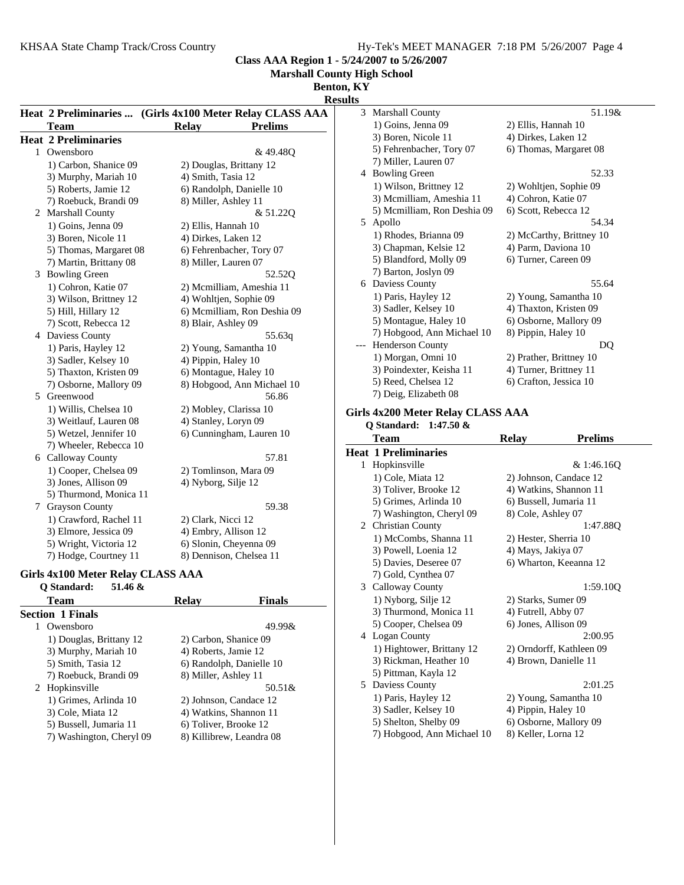**Marshall County High School**

#### **Benton, KY**

|                             |                                                          | ренон, ітт                           |
|-----------------------------|----------------------------------------------------------|--------------------------------------|
|                             |                                                          | <b>Results</b>                       |
|                             | Heat 2 Preliminaries  (Girls 4x100 Meter Relay CLASS AAA | 3 Marshall County                    |
| <b>Team</b>                 | <b>Relay</b><br><b>Prelims</b>                           | 1) Goins, Jenna                      |
| <b>Heat 2 Preliminaries</b> |                                                          | 3) Boren, Nicole                     |
| 1 Owensboro                 | & 49.48Q                                                 | 5) Fehrenbacher                      |
| 1) Carbon, Shanice 09       | 2) Douglas, Brittany 12                                  | 7) Miller, Laure                     |
| 3) Murphy, Mariah 10        | 4) Smith, Tasia 12                                       | 4 Bowling Green                      |
| 5) Roberts, Jamie 12        | 6) Randolph, Danielle 10                                 | 1) Wilson, Britt                     |
| 7) Roebuck, Brandi 09       | 8) Miller, Ashley 11                                     | 3) Mcmilliam, A                      |
| 2 Marshall County           | & 51.22Q                                                 | 5) Mcmilliam, R                      |
| 1) Goins, Jenna 09          | 2) Ellis, Hannah 10                                      | 5 Apollo                             |
| 3) Boren, Nicole 11         | 4) Dirkes, Laken 12                                      | 1) Rhodes, Bria                      |
| 5) Thomas, Margaret 08      | 6) Fehrenbacher, Tory 07                                 | 3) Chapman, Ke                       |
| 7) Martin, Brittany 08      | 8) Miller, Lauren 07                                     | 5) Blandford, M                      |
| 3 Bowling Green             | 52.520                                                   | 7) Barton, Joslyi                    |
| 1) Cohron, Katie 07         | 2) Mcmilliam, Ameshia 11                                 | 6 Daviess County                     |
| 3) Wilson, Brittney 12      | 4) Wohltjen, Sophie 09                                   | 1) Paris, Hayley                     |
| 5) Hill, Hillary 12         | 6) Mcmilliam, Ron Deshia 09                              | 3) Sadler, Kelse                     |
| 7) Scott, Rebecca 12        | 8) Blair, Ashley 09                                      | 5) Montague, Ha                      |
| 4 Daviess County            | 55.63q                                                   | 7) Hobgood, An                       |
| 1) Paris, Hayley 12         | 2) Young, Samantha 10                                    | Henderson Cour                       |
| 3) Sadler, Kelsey 10        | 4) Pippin, Haley 10                                      | 1) Morgan, Omi                       |
| 5) Thaxton, Kristen 09      | 6) Montague, Haley 10                                    | 3) Poindexter, K                     |
| 7) Osborne, Mallory 09      | 8) Hobgood, Ann Michael 10                               | 5) Reed, Chelsea                     |
| 5 Greenwood                 | 56.86                                                    | 7) Deig, Elizabe                     |
| 1) Willis, Chelsea 10       | 2) Mobley, Clarissa 10                                   | Girls 4x200 Meter 1                  |
| 3) Weitlauf, Lauren 08      | 4) Stanley, Loryn 09                                     | Q Standard: 1:                       |
| 5) Wetzel, Jennifer 10      | 6) Cunningham, Lauren 10                                 | <b>Team</b>                          |
| 7) Wheeler, Rebecca 10      |                                                          | <b>Heat 1 Preliminari</b>            |
| 6 Calloway County           | 57.81                                                    |                                      |
| 1) Cooper, Chelsea 09       | 2) Tomlinson, Mara 09                                    | 1 Hopkinsville                       |
| 3) Jones, Allison 09        | 4) Nyborg, Silje 12                                      | 1) Cole, Miata 1                     |
| 5) Thurmond, Monica 11      |                                                          | 3) Toliver, Broo                     |
| 7 Grayson County            | 59.38                                                    | 5) Grimes, Arlin                     |
| 1) Crawford, Rachel 11      | 2) Clark, Nicci 12                                       | 7) Washington,                       |
| 3) Elmore, Jessica 09       | 4) Embry, Allison 12                                     | 2 Christian County<br>1) McCombs, SI |
| 5) Wright, Victoria 12      | 6) Slonin, Cheyenna 09                                   |                                      |
| 7) Hodge, Courtney 11       | 8) Dennison, Chelsea 11                                  | 3) Powell, Loen<br>5) Davies Deser   |
|                             |                                                          |                                      |

### **Girls 4x100 Meter Relay CLASS AAA Q Standard: 51.46 &**

| Team                     | Relav                    | <b>Finals</b> |
|--------------------------|--------------------------|---------------|
| <b>Section 1 Finals</b>  |                          |               |
| Owensboro                |                          | $49.99\&$     |
| 1) Douglas, Brittany 12  | 2) Carbon, Shanice 09    |               |
| 3) Murphy, Mariah 10     | 4) Roberts, Jamie 12     |               |
| 5) Smith, Tasia 12       | 6) Randolph, Danielle 10 |               |
| 7) Roebuck, Brandi 09    | 8) Miller, Ashley 11     |               |
| 2 Hopkinsville           |                          | 50.51&        |
| 1) Grimes, Arlinda 10    | 2) Johnson, Candace 12   |               |
| 3) Cole, Miata 12        | 4) Watkins, Shannon 11   |               |
| 5) Bussell, Jumaria 11   | 6) Toliver, Brooke 12    |               |
| 7) Washington, Cheryl 09 | 8) Killibrew, Leandra 08 |               |
|                          |                          |               |

| S |                             |                          |
|---|-----------------------------|--------------------------|
| 3 | <b>Marshall County</b>      | 51.19&                   |
|   | 1) Goins, Jenna 09          | 2) Ellis, Hannah 10      |
|   | 3) Boren, Nicole 11         | 4) Dirkes, Laken 12      |
|   | 5) Fehrenbacher, Tory 07    | 6) Thomas, Margaret 08   |
|   | 7) Miller, Lauren 07        |                          |
| 4 | <b>Bowling Green</b>        | 52.33                    |
|   | 1) Wilson, Brittney 12      | 2) Wohltjen, Sophie 09   |
|   | 3) Mcmilliam, Ameshia 11    | 4) Cohron, Katie 07      |
|   | 5) Mcmilliam, Ron Deshia 09 | 6) Scott, Rebecca 12     |
| 5 | Apollo                      | 54.34                    |
|   | 1) Rhodes, Brianna 09       | 2) McCarthy, Brittney 10 |
|   | 3) Chapman, Kelsie 12       | 4) Parm, Daviona 10      |
|   | 5) Blandford, Molly 09      | 6) Turner, Careen 09     |
|   | 7) Barton, Joslyn 09        |                          |
| 6 | Daviess County              | 55.64                    |
|   | 1) Paris, Hayley 12         | 2) Young, Samantha 10    |
|   | 3) Sadler, Kelsey 10        | 4) Thaxton, Kristen 09   |
|   | 5) Montague, Haley 10       | 6) Osborne, Mallory 09   |
|   | 7) Hobgood, Ann Michael 10  | 8) Pippin, Haley 10      |
|   | <b>Henderson County</b>     | DQ                       |
|   | 1) Morgan, Omni 10          | 2) Prather, Brittney 10  |
|   | 3) Poindexter, Keisha 11    | 4) Turner, Brittney 11   |
|   | 5) Reed, Chelsea 12         | 6) Crafton, Jessica 10   |
|   | 7) Deig, Elizabeth 08       |                          |

### **Relay CLASS AAA Q Standard: 1:47.50 &**

|   | Team                        | <b>Relay</b>           | <b>Prelims</b>           |
|---|-----------------------------|------------------------|--------------------------|
|   | <b>Heat 1 Preliminaries</b> |                        |                          |
| 1 | Hopkinsville                |                        | & 1:46.160               |
|   | 1) Cole, Miata 12           |                        | 2) Johnson, Candace 12   |
|   | 3) Toliver, Brooke 12       |                        | 4) Watkins, Shannon 11   |
|   | 5) Grimes, Arlinda 10       | 6) Bussell, Jumaria 11 |                          |
|   | 7) Washington, Cheryl 09    | 8) Cole, Ashley 07     |                          |
|   | 2 Christian County          |                        | 1:47.88Q                 |
|   | 1) McCombs, Shanna 11       | 2) Hester, Sherria 10  |                          |
|   | 3) Powell, Loenia 12        | 4) Mays, Jakiya 07     |                          |
|   | 5) Davies, Deseree 07       |                        | 6) Wharton, Keeanna 12   |
|   | 7) Gold, Cynthea 07         |                        |                          |
|   | 3 Calloway County           |                        | 1:59.10Q                 |
|   | 1) Nyborg, Silje 12         | 2) Starks, Sumer 09    |                          |
|   | 3) Thurmond, Monica 11      | 4) Futrell, Abby 07    |                          |
|   | 5) Cooper, Chelsea 09       | 6) Jones, Allison 09   |                          |
|   | 4 Logan County              |                        | 2:00.95                  |
|   | 1) Hightower, Brittany 12   |                        | 2) Orndorff, Kathleen 09 |
|   | 3) Rickman, Heather 10      | 4) Brown, Danielle 11  |                          |
|   | 5) Pittman, Kayla 12        |                        |                          |
| 5 | Daviess County              |                        | 2:01.25                  |
|   | 1) Paris, Hayley 12         |                        | 2) Young, Samantha 10    |
|   | 3) Sadler, Kelsey 10        | 4) Pippin, Haley 10    |                          |
|   | 5) Shelton, Shelby 09       |                        | 6) Osborne, Mallory 09   |
|   | 7) Hobgood, Ann Michael 10  | 8) Keller, Lorna 12    |                          |
|   |                             |                        |                          |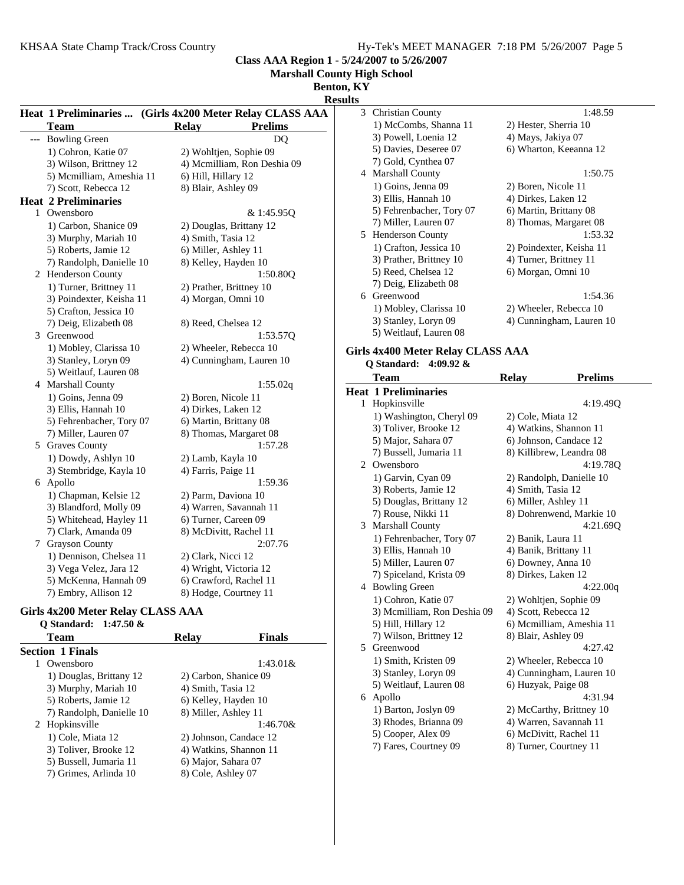7) Randolph, Danielle 10 8) Miller, Ashley 11 2 1:46.70& Hopkinsville 1) Cole, Miata 12 2) Johnson, Candace 12 3) Toliver, Brooke 12 4) Watkins, Shannon 11 5) Bussell, Jumaria 11 6) Major, Sahara 07 7) Grimes, Arlinda 10 8) Cole, Ashley 07

**Class AAA Region 1 - 5/24/2007 to 5/26/2007 Marshall County High School**

**Benton, KY Results Heat 1 Preliminaries ... (Girls 4x200 Meter Relay CLASS AAA)** Team Relay **Prelims** --- Bowling Green DQ 1) Cohron, Katie 07 2) Wohltjen, Sophie 09 3) Wilson, Brittney 12 4) Mcmilliam, Ron Deshia 09 5) Mcmilliam, Ameshia 11 6) Hill, Hillary 12 7) Scott, Rebecca 12 8) Blair, Ashley 09 **Heat 2 Preliminaries** 1 Owensboro & 1:45.950 1) Carbon, Shanice 09 2) Douglas, Brittany 12 3) Murphy, Mariah 10 4) Smith, Tasia 12 5) Roberts, Jamie 12 6) Miller, Ashley 11 7) Randolph, Danielle 10 8) Kelley, Hayden 10 2 Henderson County 1:50.800 1) Turner, Brittney 11 2) Prather, Brittney 10 3) Poindexter, Keisha 11 4) Morgan, Omni 10 5) Crafton, Jessica 10 7) Deig, Elizabeth 08 8) Reed, Chelsea 12 3 1:53.57Q Greenwood 1) Mobley, Clarissa 10 2) Wheeler, Rebecca 10 3) Stanley, Loryn 09 4) Cunningham, Lauren 10 5) Weitlauf, Lauren 08 4 Marshall County 1:55.02q 1) Goins, Jenna 09 2) Boren, Nicole 11 3) Ellis, Hannah 10 4) Dirkes, Laken 12 5) Fehrenbacher, Tory 07 6) Martin, Brittany 08 7) Miller, Lauren 07 8) Thomas, Margaret 08 5 1:57.28 Graves County 1) Dowdy, Ashlyn 10 2) Lamb, Kayla 10<br>3) Stembridge, Kayla 10 4) Farris, Paige 11 3) Stembridge, Kayla 10 6 1:59.36 Apollo 1) Chapman, Kelsie 12 2) Parm, Daviona 10 3) Blandford, Molly 09 4) Warren, Savannah 11 5) Whitehead, Hayley 11 6) Turner, Careen 09 7) Clark, Amanda 09 8) McDivitt, Rachel 11 7 2:07.76 Grayson County 1) Dennison, Chelsea 11 2) Clark, Nicci 12 3) Vega Velez, Jara 12 4) Wright, Victoria 12 5) McKenna, Hannah 09 6) Crawford, Rachel 11 7) Embry, Allison 12 8) Hodge, Courtney 11 **Girls 4x200 Meter Relay CLASS AAA Q Standard: 1:47.50 &** Team Relay Finals **Section 1 Finals** 1:43.01& 1:43.01& 1) Douglas, Brittany 12 2) Carbon, Shanice 09 3) Murphy, Mariah 10 4) Smith, Tasia 12 5) Roberts, Jamie 12 6) Kelley, Hayden 10 3 Christian County 1:48.59 1) McCombs, Shanna 11 2) Hester, Sherria 10 3) Powell, Loenia 12 4) Mays, Jakiya 07 5) Davies, Deseree 07 6) Wharton, Keeanna 12 7) Gold, Cynthea 07 4 1:50.75 Marshall County 1) Goins, Jenna 09 2) Boren, Nicole 11 3) Ellis, Hannah 10 4) Dirkes, Laken 12 5) Fehrenbacher, Tory 07 6) Martin, Brittany 08 7) Miller, Lauren 07 8) Thomas, Margaret 08 5 1:53.32 Henderson County 1) Crafton, Jessica 10 2) Poindexter, Keisha 11 3) Prather, Brittney 10 4) Turner, Brittney 11 5) Reed, Chelsea 12 6) Morgan, Omni 10 7) Deig, Elizabeth 08 6 1:54.36 Greenwood 1) Mobley, Clarissa 10 2) Wheeler, Rebecca 10 3) Stanley, Loryn 09 4) Cunningham, Lauren 10 5) Weitlauf, Lauren 08 **Girls 4x400 Meter Relay CLASS AAA Q Standard: 4:09.92 &** Team Relay **Prelims Heat 1 Preliminaries** 1 Hopkinsville 4:19.49Q 1) Washington, Cheryl 09 2) Cole, Miata 12 3) Toliver, Brooke 12 4) Watkins, Shannon 11 5) Major, Sahara 07 6) Johnson, Candace 12 7) Bussell, Jumaria 11 8) Killibrew, Leandra 08 2 4:19.78Q Owensboro 1) Garvin, Cyan 09 2) Randolph, Danielle 10 3) Roberts, Jamie 12 4) Smith, Tasia 12 5) Douglas, Brittany 12 6) Miller, Ashley 11 7) Rouse, Nikki 11 8) Dohrenwend, Markie 10 3 4:21.69Q Marshall County 1) Fehrenbacher, Tory 07 2) Banik, Laura 11 3) Ellis, Hannah 10 4) Banik, Brittany 11 5) Miller, Lauren 07 6) Downey, Anna 10 7) Spiceland, Krista 09 8) Dirkes, Laken 12 4 Bowling Green 4:22.00q 1) Cohron, Katie 07 2) Wohltjen, Sophie 09 3) Mcmilliam, Ron Deshia 09 4) Scott, Rebecca 12 5) Hill, Hillary 12 6) Mcmilliam, Ameshia 11 7) Wilson, Brittney 12 8) Blair, Ashley 09 5 4:27.42 Greenwood 1) Smith, Kristen 09 2) Wheeler, Rebecca 10 3) Stanley, Loryn 09 4) Cunningham, Lauren 10 5) Weitlauf, Lauren 08 6) Huzyak, Paige 08

#### 6 4:31.94 Apollo 1) Barton, Joslyn 09 2) McCarthy, Brittney 10 3) Rhodes, Brianna 09 4) Warren, Savannah 11

- 5) Cooper, Alex 09 6) McDivitt, Rachel 11
- 7) Fares, Courtney 09 8) Turner, Courtney 11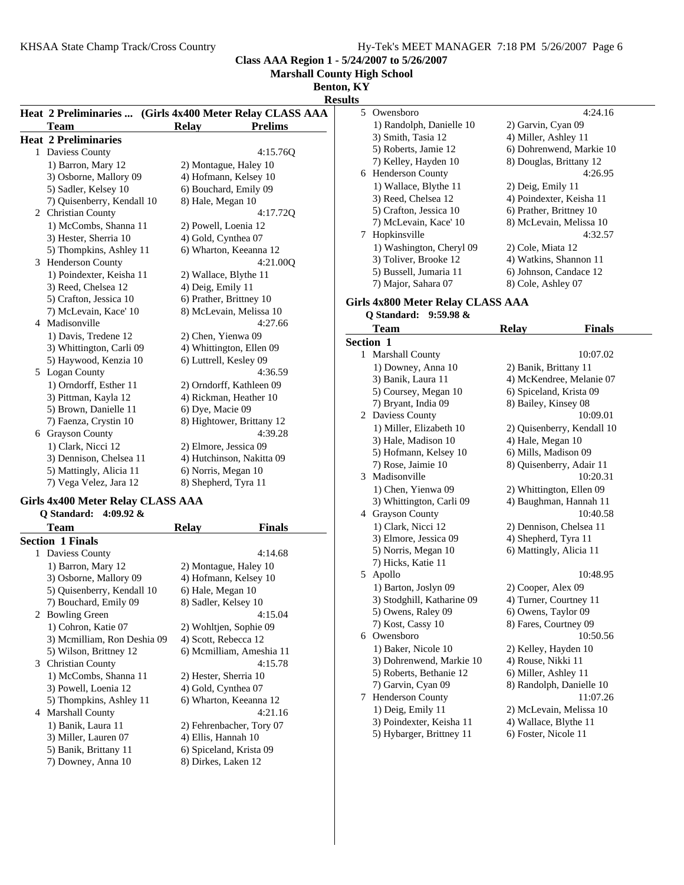**y High School** 

**b**,  $\overline{\mathbf{K}\mathbf{Y}}$ 

|                             | Class AAA Region 1 - 5                                   |
|-----------------------------|----------------------------------------------------------|
|                             | <b>Marshall Count</b>                                    |
|                             | <b>Benton</b>                                            |
|                             | <b>Resu</b>                                              |
|                             | Heat 2 Preliminaries  (Girls 4x400 Meter Relay CLASS AAA |
| <b>Team</b>                 | <b>Relay</b><br><b>Prelims</b>                           |
| <b>Heat 2 Preliminaries</b> |                                                          |
| 1 Daviess County            | 4:15.76Q                                                 |
| 1) Barron, Mary 12          | 2) Montague, Haley 10                                    |
| 3) Osborne, Mallory 09      | 4) Hofmann, Kelsey 10                                    |
| 5) Sadler, Kelsey 10        | 6) Bouchard, Emily 09                                    |
| 7) Quisenberry, Kendall 10  | 8) Hale, Megan 10                                        |
| 2 Christian County          | 4:17.72Q                                                 |
| 1) McCombs, Shanna 11       | 2) Powell, Loenia 12                                     |
| 3) Hester, Sherria 10       | 4) Gold, Cynthea 07                                      |
| 5) Thompkins, Ashley 11     | 6) Wharton, Keeanna 12                                   |
| 3 Henderson County          | 4:21.00Q                                                 |
| 1) Poindexter, Keisha 11    | 2) Wallace, Blythe 11                                    |
| 3) Reed, Chelsea 12         | 4) Deig, Emily 11                                        |
| 5) Crafton, Jessica 10      | 6) Prather, Brittney 10                                  |
| 7) McLevain, Kace' 10       | 8) McLevain, Melissa 10                                  |
| 4 Madisonville              | 4:27.66                                                  |
| 1) Davis, Tredene 12        | 2) Chen, Yienwa 09                                       |
| 3) Whittington, Carli 09    | 4) Whittington, Ellen 09                                 |
| 5) Haywood, Kenzia 10       | 6) Luttrell, Kesley 09                                   |
| 5 Logan County              | 4:36.59                                                  |
| 1) Orndorff, Esther 11      | 2) Orndorff, Kathleen 09                                 |
| 3) Pittman, Kayla 12        | 4) Rickman, Heather 10                                   |
| 5) Brown, Danielle 11       | 6) Dye, Macie 09                                         |
| 7) Faenza, Crystin 10       | 8) Hightower, Brittany 12                                |
| 6 Grayson County            | 4:39.28                                                  |
| 1) Clark, Nicci 12          | 2) Elmore, Jessica 09                                    |
| 3) Dennison, Chelsea 11     | 4) Hutchinson, Nakitta 09                                |
| 5) Mattingly, Alicia 11     | 6) Norris, Megan 10                                      |
| 7) Vega Velez, Jara 12      | 8) Shepherd, Tyra 11                                     |

#### **Girls 4x400 Meter Relay CLASS AAA Q Standard: 4:09.92 &**

|   | Team                        | Relay                   | <b>Finals</b>            |
|---|-----------------------------|-------------------------|--------------------------|
|   | <b>Section 1 Finals</b>     |                         |                          |
| 1 | Daviess County              |                         | 4:14.68                  |
|   | 1) Barron, Mary 12          | 2) Montague, Haley 10   |                          |
|   | 3) Osborne, Mallory 09      |                         | 4) Hofmann, Kelsey 10    |
|   | 5) Quisenberry, Kendall 10  | 6) Hale, Megan 10       |                          |
|   | 7) Bouchard, Emily 09       | 8) Sadler, Kelsey 10    |                          |
|   | 2 Bowling Green             |                         | 4:15.04                  |
|   | 1) Cohron, Katie 07         | 2) Wohltjen, Sophie 09  |                          |
|   | 3) Mcmilliam, Ron Deshia 09 | 4) Scott, Rebecca 12    |                          |
|   | 5) Wilson, Brittney 12      |                         | 6) Mcmilliam, Ameshia 11 |
|   | 3 Christian County          |                         | 4:15.78                  |
|   | 1) McCombs, Shanna 11       | 2) Hester, Sherria 10   |                          |
|   | 3) Powell, Loenia 12        | 4) Gold, Cynthea 07     |                          |
|   | 5) Thompkins, Ashley 11     |                         | 6) Wharton, Keeanna 12   |
| 4 | <b>Marshall County</b>      |                         | 4:21.16                  |
|   | 1) Banik, Laura 11          |                         | 2) Fehrenbacher, Tory 07 |
|   | 3) Miller, Lauren 07        | 4) Ellis, Hannah 10     |                          |
|   | 5) Banik, Brittany 11       | 6) Spiceland, Krista 09 |                          |
|   | 7) Downey, Anna 10          | 8) Dirkes, Laken 12     |                          |
|   |                             |                         |                          |

| ılts |                          |                          |
|------|--------------------------|--------------------------|
|      | 5 Owensboro              | 4:24.16                  |
|      | 1) Randolph, Danielle 10 | 2) Garvin, Cyan 09       |
|      | 3) Smith, Tasia 12       | 4) Miller, Ashley 11     |
|      | 5) Roberts, Jamie 12     | 6) Dohrenwend, Markie 10 |
|      | 7) Kelley, Hayden 10     | 8) Douglas, Brittany 12  |
|      | 6 Henderson County       | 4:26.95                  |
|      | 1) Wallace, Blythe 11    | 2) Deig, Emily 11        |
|      | 3) Reed, Chelsea 12      | 4) Poindexter, Keisha 11 |
|      | 5) Crafton, Jessica 10   | 6) Prather, Brittney 10  |
|      | 7) McLevain, Kace' 10    | 8) McLevain, Melissa 10  |
|      | 7 Hopkinsville           | 4:32.57                  |
|      | 1) Washington, Cheryl 09 | 2) Cole, Miata 12        |
|      | 3) Toliver, Brooke 12    | 4) Watkins, Shannon 11   |
|      | 5) Bussell, Jumaria 11   | 6) Johnson, Candace 12   |
|      | 7) Major, Sahara 07      | 8) Cole, Ashley 07       |
|      |                          |                          |

# **Girls 4x800 Meter Relay CLASS AAA**

## **Q Standard: 9:59.98 &** Team Relay Finals **Section 1** 1 10:07.02 Marshall County 1) Downey, Anna 10 2) Banik, Brittany 11 3) Banik, Laura 11 4) McKendree, Melanie 07 5) Coursey, Megan 10 6) Spiceland, Krista 09 7) Bryant, India 09 8) Bailey, Kinsey 08 2 Daviess County 10:09.01 1) Miller, Elizabeth 10 2) Quisenberry, Kendall 10 3) Hale, Madison 10 4) Hale, Megan 10 5) Hofmann, Kelsey 10 6) Mills, Madison 09 7) Rose, Jaimie 10 8) Quisenberry, Adair 11 3 10:20.31 Madisonville 1) Chen, Yienwa 09 2) Whittington, Ellen 09 3) Whittington, Carli 09 4) Baughman, Hannah 11 4 10:40.58 Grayson County 1) Clark, Nicci 12 2) Dennison, Chelsea 11 3) Elmore, Jessica 09 4) Shepherd, Tyra 11 5) Norris, Megan 10 6) Mattingly, Alicia 11 7) Hicks, Katie 11 5 10:48.95 Apollo 1) Barton, Joslyn 09 2) Cooper, Alex 09 3) Stodghill, Katharine 09 4) Turner, Courtney 11 5) Owens, Raley 09 6) Owens, Taylor 09 7) Kost, Cassy 10 8) Fares, Courtney 09 6 10:50.56 Owensboro 1) Baker, Nicole 10 2) Kelley, Hayden 10 3) Dohrenwend, Markie 10 4) Rouse, Nikki 11 5) Roberts, Bethanie 12 6) Miller, Ashley 11 7) Garvin, Cyan 09 8) Randolph, Danielle 10 7 11:07.26 Henderson County 1) Deig, Emily 11 2) McLevain, Melissa 10 3) Poindexter, Keisha 11 4) Wallace, Blythe 11 5) Hybarger, Brittney 11 6) Foster, Nicole 11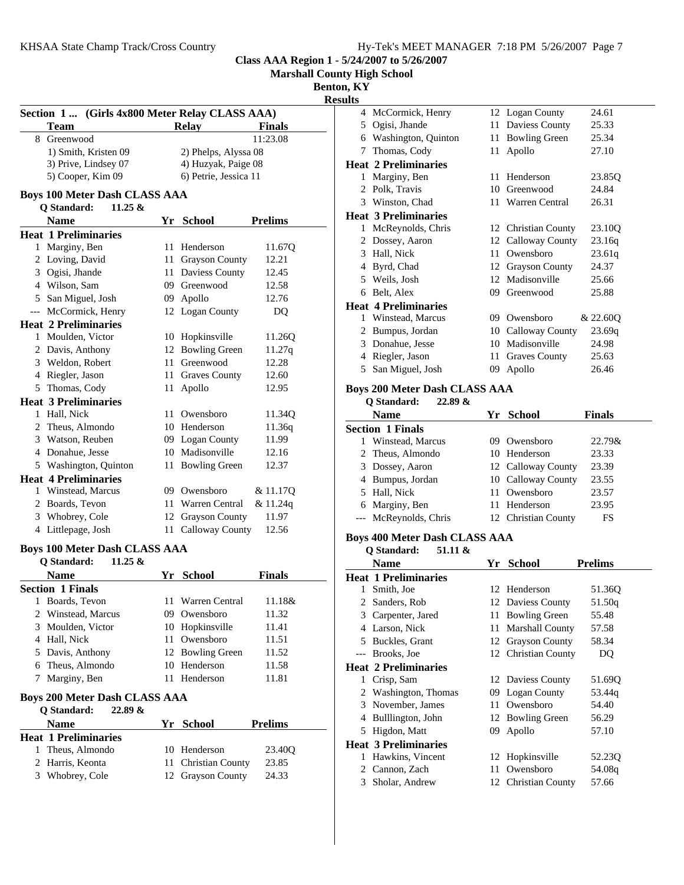**Marshall County High School**

**Benton, KY**

**Results**

|        | Section 1 (Girls 4x800 Meter Relay CLASS AAA)                            |      |                                     |                 |
|--------|--------------------------------------------------------------------------|------|-------------------------------------|-----------------|
|        | <b>Team</b>                                                              |      | <b>Relay</b>                        | <b>Finals</b>   |
|        | 8 Greenwood                                                              |      |                                     | 11:23.08        |
|        | 1) Smith, Kristen 09                                                     |      | 2) Phelps, Alyssa 08                |                 |
|        | 3) Prive, Lindsey 07                                                     |      | 4) Huzyak, Paige 08                 |                 |
|        | 5) Cooper, Kim 09                                                        |      | 6) Petrie, Jessica 11               |                 |
|        | <b>Boys 100 Meter Dash CLASS AAA</b><br>Q Standard:<br>$11.25 \&$        |      |                                     |                 |
|        | <b>Name</b>                                                              |      | Yr School                           | <b>Prelims</b>  |
|        | <b>Heat 1 Preliminaries</b>                                              |      |                                     |                 |
| 1      | Marginy, Ben                                                             | 11   | Henderson                           | 11.67Q          |
|        | 2 Loving, David                                                          |      | 11 Grayson County                   | 12.21           |
|        | 3 Ogisi, Jhande                                                          |      | 11 Daviess County                   | 12.45           |
|        | 4 Wilson, Sam                                                            |      | 09 Greenwood                        | 12.58           |
|        | 5 San Miguel, Josh                                                       |      | 09 Apollo                           | 12.76           |
|        | --- McCormick, Henry                                                     |      | 12 Logan County                     | DQ              |
|        | <b>Heat 2 Preliminaries</b>                                              |      |                                     |                 |
|        | 1 Moulden, Victor                                                        |      | 10 Hopkinsville                     | 11.26Q          |
|        | 2 Davis, Anthony                                                         |      | 12 Bowling Green                    | 11.27q          |
|        | 3 Weldon, Robert                                                         | 11 - | Greenwood                           | 12.28           |
|        | 4 Riegler, Jason                                                         |      | 11 Graves County                    | 12.60           |
|        | 5 Thomas, Cody                                                           | 11   | Apollo                              | 12.95           |
|        | <b>Heat 3 Preliminaries</b>                                              |      |                                     |                 |
|        | 1 Hall, Nick                                                             |      | 11 Owensboro                        | 11.34Q          |
|        | 2 Theus, Almondo                                                         |      | 10 Henderson                        | 11.36q          |
|        | 3 Watson, Reuben                                                         |      |                                     | 11.99           |
|        |                                                                          |      | 09 Logan County<br>10 Madisonville  | 12.16           |
|        | 4 Donahue, Jesse                                                         |      |                                     |                 |
|        | 5 Washington, Quinton                                                    |      | 11 Bowling Green                    | 12.37           |
|        | <b>Heat 4 Preliminaries</b>                                              |      |                                     |                 |
|        | 1 Winstead, Marcus                                                       |      | 09 Owensboro                        | & 11.17Q        |
|        | 2 Boards, Tevon                                                          |      | 11 Warren Central                   | & 11.24q        |
|        | 3 Whobrey, Cole                                                          |      | 12 Grayson County                   | 11.97           |
|        | 4 Littlepage, Josh                                                       |      | 11 Calloway County                  | 12.56           |
|        | <b>Boys 100 Meter Dash CLASS AAA</b><br><b>Q</b> Standard:<br>11.25 $\&$ |      |                                     |                 |
|        | <b>Name</b>                                                              |      | Yr School                           | <b>Finals</b>   |
|        | <b>Section 1 Finals</b>                                                  |      |                                     |                 |
|        |                                                                          |      |                                     |                 |
|        |                                                                          |      |                                     |                 |
|        | 1 Boards, Tevon                                                          |      | 11 Warren Central                   |                 |
|        | 2 Winstead, Marcus                                                       |      | 09 Owensboro                        | 11.32           |
| 3      | Moulden, Victor                                                          |      | 10 Hopkinsville                     | 11.41           |
|        | 4 Hall, Nick                                                             |      | 11 Owensboro                        | 11.18&<br>11.51 |
| 5      | Davis, Anthony                                                           |      | 12 Bowling Green                    | 11.52           |
|        | 6 Theus, Almondo                                                         |      | 10 Henderson                        | 11.58           |
| 7      | Marginy, Ben                                                             |      | 11 Henderson                        | 11.81           |
|        | <b>Boys 200 Meter Dash CLASS AAA</b>                                     |      |                                     |                 |
|        | Q Standard:<br>22.89 &                                                   |      |                                     |                 |
|        | <b>Name</b>                                                              |      | Yr School                           | <b>Prelims</b>  |
|        | <b>Heat 1 Preliminaries</b>                                              |      |                                     |                 |
| 1<br>2 | Theus, Almondo<br>Harris, Keonta                                         |      | 10 Henderson<br>11 Christian County | 23.40Q<br>23.85 |

| uts            |                               |    |                       |          |
|----------------|-------------------------------|----|-----------------------|----------|
| 4              | McCormick, Henry              |    | 12 Logan County       | 24.61    |
| 5              | Ogisi, Jhande                 | 11 | Daviess County        | 25.33    |
| 6              | Washington, Quinton           | 11 | <b>Bowling Green</b>  | 25.34    |
| 7              | Thomas, Cody                  | 11 | Apollo                | 27.10    |
|                | Heat 2 Preliminaries          |    |                       |          |
| 1              | Marginy, Ben                  | 11 | Henderson             | 23.85Q   |
| $\mathfrak{D}$ | Polk, Travis                  | 10 | Greenwood             | 24.84    |
| 3              | Winston, Chad                 | 11 | Warren Central        | 26.31    |
|                | Heat 3 Preliminaries          |    |                       |          |
| 1              | McReynolds, Chris             |    | 12 Christian County   | 23.10Q   |
| 2              | Dossey, Aaron                 | 12 | Calloway County       | 23.16q   |
| 3              | Hall, Nick                    | 11 | Owensboro             | 23.61q   |
| 4              | Byrd, Chad                    | 12 | <b>Grayson County</b> | 24.37    |
| 5              | Weils, Josh                   | 12 | Madisonville          | 25.66    |
| 6              | Belt, Alex                    | 09 | Greenwood             | 25.88    |
|                | <b>Heat 4 Preliminaries</b>   |    |                       |          |
| 1              | Winstead, Marcus              | 09 | Owensboro             | & 22.60Q |
| 2              | Bumpus, Jordan                | 10 | Calloway County       | 23.69q   |
| 3              | Donahue, Jesse                | 10 | Madisonville          | 24.98    |
| 4              | Riegler, Jason                | 11 | <b>Graves County</b>  | 25.63    |
| 5              | San Miguel, Josh              | 09 | Apollo                | 26.46    |
|                | Boys 200 Meter Dash CLASS AAA |    |                       |          |

## **Q Standard: 22.89 & Name Finals Property Property Property Property Property Property Property Property Property Property Property Property Property Property Property Property Property Property Propert Section 1 Finals** 1 22.79& Winstead, Marcus 09 Owensboro 2 Theus, Almondo 10 Henderson 23.33 3 Dossey, Aaron 12 Calloway County 23.39 4 Bumpus, Jordan 10 Calloway County 23.55 5 23.57 Hall, Nick 11 Owensboro

6 23.95 Marginy, Ben 11 Henderson --- McReynolds, Chris 12 Christian County FS

## **Boys 400 Meter Dash CLASS AAA**

**Q Standard: 51.11 & Name Prelims Prelims Heat 1 Preliminaries** 12 Henderson 51.36Q 2 Sanders, Rob 12 Daviess County 51.50q 3 Carpenter, Jared 11 Bowling Green 55.48 4 Larson, Nick 11 Marshall County 57.58 5 Buckles, Grant 12 Grayson County 58.34 --- Brooks, Joe 12 Christian County DQ **Heat 2 Preliminaries** 1 Crisp, Sam 12 Daviess County 51.69Q 2 Washington, Thomas 09 Logan County 53.44q 3 November, James 11 Owensboro 54.40 4 Bulllington, John 12 Bowling Green 56.29 5 Higdon, Matt 09 Apollo 57.10 **Heat 3 Preliminaries** 1 Hawkins, Vincent 12 Hopkinsville 52.23Q 2 Cannon, Zach 11 Owensboro 54.08q 3 Sholar, Andrew 12 Christian County 57.66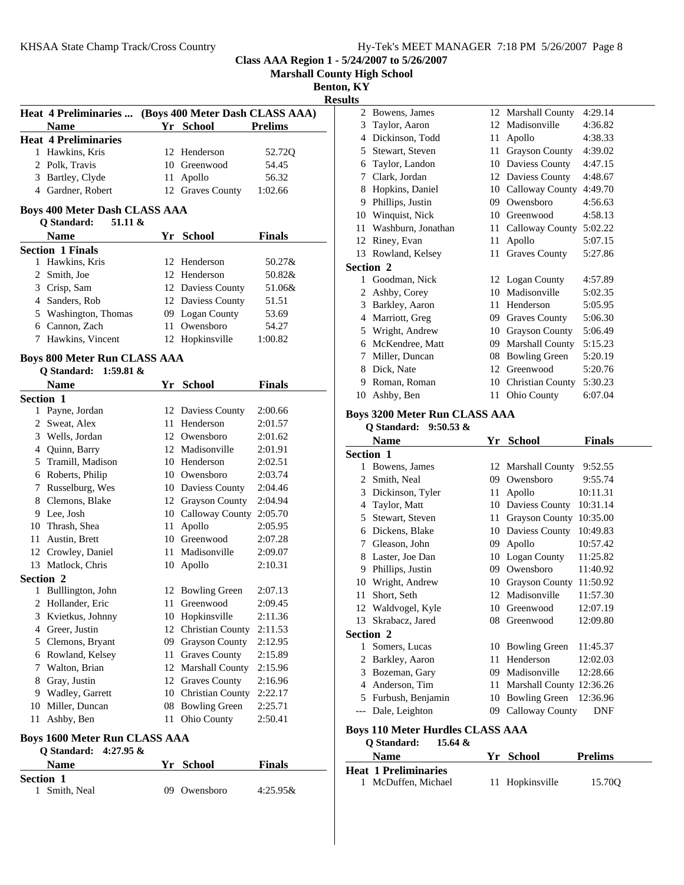| Hy-Tek's MEET MANAGER 7:18 PM 5/26/2007 Page 8 |  |  |  |  |  |  |  |
|------------------------------------------------|--|--|--|--|--|--|--|
|------------------------------------------------|--|--|--|--|--|--|--|

**Marshall County High School**

**Benton, KY**

**Results**

| Heat 4 Preliminaries  (Boys 400 Meter Dash CLASS AAA) |                  |                |
|-------------------------------------------------------|------------------|----------------|
| <b>Name</b>                                           | Yr School        | <b>Prelims</b> |
| <b>Heat 4 Preliminaries</b>                           |                  |                |
| 1 Hawkins, Kris                                       | 12 Henderson     | 52.72Q         |
| 2 Polk, Travis                                        | 10 Greenwood     | 54.45          |
| 3 Bartley, Clyde                                      | 11 Apollo        | 56.32          |
| 4 Gardner, Robert                                     | 12 Graves County | 1:02.66        |

## **Boys 400 Meter Dash CLASS AAA**

| 51.11 &<br>O Standard:  |                   |               |  |
|-------------------------|-------------------|---------------|--|
| <b>Name</b>             | Yr School         | <b>Finals</b> |  |
| <b>Section 1 Finals</b> |                   |               |  |
| 1 Hawkins, Kris         | 12 Henderson      | $50.27\&$     |  |
| 2 Smith, Joe            | 12 Henderson      | 50.82&        |  |
| 3 Crisp, Sam            | 12 Daviess County | 51.06&        |  |
| 4 Sanders, Rob          | 12 Daviess County | 51.51         |  |
| 5 Washington, Thomas    | 09 Logan County   | 53.69         |  |
| Cannon, Zach<br>6       | 11 Owensboro      | 54.27         |  |
| 7 Hawkins, Vincent      | 12 Hopkinsville   | 1:00.82       |  |
|                         |                   |               |  |

## **Boys 800 Meter Run CLASS AAA**

### **Q Standard: 1:59.81 &**

|                  | <b>Name</b>        | Yr | <b>School</b>           | <b>Finals</b> |
|------------------|--------------------|----|-------------------------|---------------|
| <b>Section 1</b> |                    |    |                         |               |
| 1                | Payne, Jordan      | 12 | Daviess County          | 2:00.66       |
| 2                | Sweat, Alex        | 11 | Henderson               | 2:01.57       |
| 3                | Wells, Jordan      | 12 | Owensboro               | 2:01.62       |
| 4                | Quinn, Barry       | 12 | Madisonville            | 2:01.91       |
| 5                | Tramill, Madison   | 10 | Henderson               | 2:02.51       |
| 6                | Roberts, Philip    | 10 | Owensboro               | 2:03.74       |
| 7                | Russelburg, Wes    | 10 | Daviess County          | 2:04.46       |
| 8                | Clemons, Blake     | 12 | <b>Grayson County</b>   | 2:04.94       |
| 9                | Lee, Josh          | 10 | Calloway County         | 2:05.70       |
| 10               | Thrash, Shea       | 11 | Apollo                  | 2:05.95       |
| 11               | Austin, Brett      | 10 | Greenwood               | 2:07.28       |
|                  | 12 Crowley, Daniel | 11 | Madisonville            | 2:09.07       |
| 13               | Matlock, Chris     | 10 | Apollo                  | 2:10.31       |
| <b>Section 2</b> |                    |    |                         |               |
| 1                | Bulllington, John  | 12 | <b>Bowling Green</b>    | 2:07.13       |
| 2                | Hollander, Eric    | 11 | Greenwood               | 2:09.45       |
| 3                | Kvietkus, Johnny   | 10 | Hopkinsville            | 2:11.36       |
| 4                | Greer, Justin      | 12 | Christian County        | 2:11.53       |
| 5                | Clemons, Bryant    | 09 | <b>Grayson County</b>   | 2:12.95       |
| 6                | Rowland, Kelsey    | 11 | <b>Graves County</b>    | 2:15.89       |
| 7                | Walton, Brian      | 12 | Marshall County         | 2:15.96       |
| 8                | Gray, Justin       | 12 | <b>Graves County</b>    | 2:16.96       |
| 9                | Wadley, Garrett    | 10 | <b>Christian County</b> | 2:22.17       |
| 10               | Miller, Duncan     | 08 | <b>Bowling Green</b>    | 2:25.71       |
| 11               | Ashby, Ben         | 11 | Ohio County             | 2:50.41       |
|                  |                    |    |                         |               |

### **Boys 1600 Meter Run CLASS AAA**

| O Standard: $4:27.95 \&$ |              |               |
|--------------------------|--------------|---------------|
| <b>Name</b>              | Yr School    | <b>Finals</b> |
| <b>Section 1</b>         |              |               |
| 1 Smith, Neal            | 09 Owensboro | $4:25.95\&$   |

| 2                | Bowens, James      |    | 12 Marshall County      | 4:29.14 |
|------------------|--------------------|----|-------------------------|---------|
| 3                | Taylor, Aaron      | 12 | Madisonville            | 4:36.82 |
| 4                | Dickinson, Todd    | 11 | Apollo                  | 4:38.33 |
| 5                | Stewart, Steven    | 11 | <b>Grayson County</b>   | 4:39.02 |
| 6                | Taylor, Landon     | 10 | Daviess County          | 4:47.15 |
| 7                | Clark, Jordan      | 12 | Daviess County          | 4:48.67 |
| 8                | Hopkins, Daniel    | 10 | Calloway County         | 4:49.70 |
| 9                | Phillips, Justin   | 09 | Owensboro               | 4:56.63 |
| 10               | Winquist, Nick     | 10 | Greenwood               | 4:58.13 |
| 11               | Washburn, Jonathan | 11 | Calloway County         | 5:02.22 |
| 12               | Riney, Evan        | 11 | Apollo                  | 5:07.15 |
| 13               | Rowland, Kelsey    | 11 | <b>Graves County</b>    | 5:27.86 |
| <b>Section 2</b> |                    |    |                         |         |
| 1                | Goodman, Nick      |    | 12 Logan County         | 4:57.89 |
| 2                | Ashby, Corey       | 10 | Madisonville            | 5:02.35 |
| 3                | Barkley, Aaron     | 11 | Henderson               | 5:05.95 |
| 4                | Marriott, Greg     | 09 | <b>Graves County</b>    | 5:06.30 |
| 5                | Wright, Andrew     | 10 | <b>Grayson County</b>   | 5:06.49 |
| 6                | McKendree, Matt    | 09 | <b>Marshall County</b>  | 5:15.23 |
| 7                | Miller, Duncan     | 08 | <b>Bowling Green</b>    | 5:20.19 |
| 8                | Dick, Nate         | 12 | Greenwood               | 5:20.76 |
| 9                | Roman, Roman       | 10 | <b>Christian County</b> | 5:30.23 |
| 10               | Ashby, Ben         | 11 | Ohio County             | 6:07.04 |

# **Boys 3200 Meter Run CLASS AAA**

**Q Standard: 9:50.53 &**

|                  | <b>Name</b>       | Yr | <b>School</b>            | <b>Finals</b> |
|------------------|-------------------|----|--------------------------|---------------|
| <b>Section 1</b> |                   |    |                          |               |
| 1                | Bowens, James     | 12 | <b>Marshall County</b>   | 9:52.55       |
| 2                | Smith, Neal       | 09 | Owensboro                | 9:55.74       |
| 3                | Dickinson, Tyler  | 11 | Apollo                   | 10:11.31      |
| 4                | Taylor, Matt      | 10 | Daviess County           | 10:31.14      |
| 5                | Stewart, Steven   | 11 | <b>Grayson County</b>    | 10:35.00      |
| 6                | Dickens, Blake    | 10 | Daviess County           | 10:49.83      |
| 7                | Gleason, John     | 09 | Apollo                   | 10:57.42      |
| 8                | Laster, Joe Dan   | 10 | Logan County             | 11:25.82      |
| 9                | Phillips, Justin  | 09 | Owensboro                | 11:40.92      |
| 10               | Wright, Andrew    | 10 | <b>Grayson County</b>    | 11:50.92      |
| 11               | Short, Seth       | 12 | Madisonville             | 11:57.30      |
| 12               | Waldvogel, Kyle   | 10 | Greenwood                | 12:07.19      |
| 13               | Skrabacz, Jared   | 08 | Greenwood                | 12:09.80      |
| Section 2        |                   |    |                          |               |
| 1                | Somers, Lucas     | 10 | <b>Bowling Green</b>     | 11:45.37      |
| 2                | Barkley, Aaron    | 11 | Henderson                | 12:02.03      |
| 3                | Bozeman, Gary     | 09 | Madisonville             | 12:28.66      |
| 4                | Anderson, Tim     | 11 | Marshall County 12:36.26 |               |
| 5                | Furbush, Benjamin | 10 | <b>Bowling Green</b>     | 12:36.96      |
| $---$            | Dale, Leighton    | 09 | Calloway County          | DNF           |

## **Boys 110 Meter Hurdles CLASS AAA**

# **Q Standard: 15.64 &**

| <b>Name</b>                 | Yr School       | <b>Prelims</b> |
|-----------------------------|-----------------|----------------|
| <b>Heat 1 Preliminaries</b> |                 |                |
| 1 McDuffen, Michael         | 11 Hopkinsville | 15.70O         |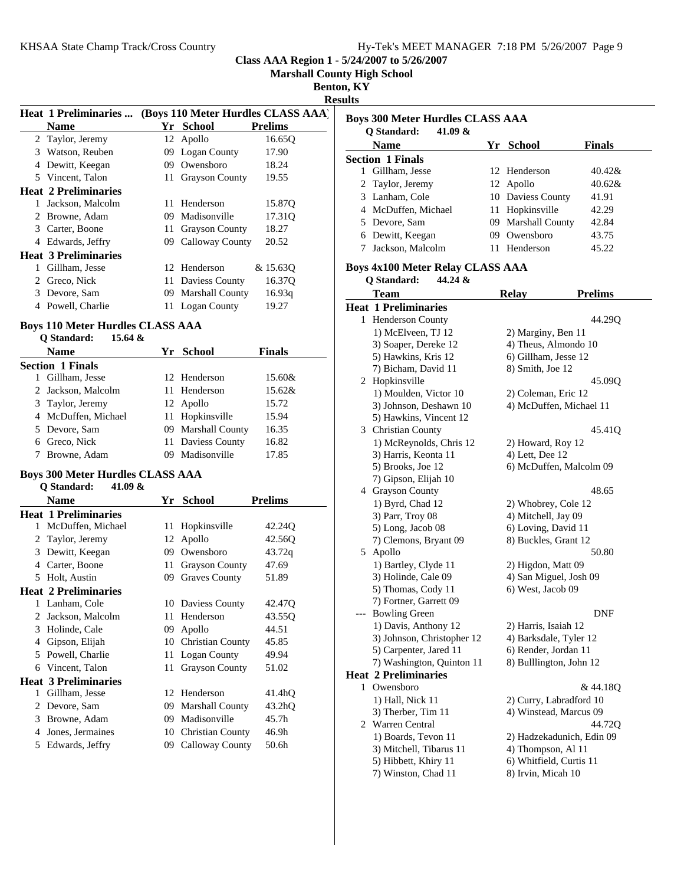|  | Hy-Tek's MEET MANAGER 7:18 PM 5/26/2007 Page 9 |  |  |
|--|------------------------------------------------|--|--|
|  |                                                |  |  |

**Marshall County High School**

**Benton, KY**

| Π<br>ı<br>╲ |
|-------------|
|-------------|

|   | <b>Heat 1 Preliminaries </b>                                                           |     |                    | (Boys 110 Meter Hurdles CLASS AAA) |
|---|----------------------------------------------------------------------------------------|-----|--------------------|------------------------------------|
|   | Name                                                                                   | Yr  | School             | <b>Prelims</b>                     |
|   | 2 Taylor, Jeremy                                                                       |     | 12 Apollo          | 16.650                             |
|   | 3 Watson, Reuben                                                                       |     | 09 Logan County    | 17.90                              |
| 4 | Dewitt, Keegan                                                                         | 09. | Owensboro          | 18.24                              |
|   | 5 Vincent, Talon                                                                       |     | 11 Grayson County  | 19.55                              |
|   | <b>Heat 2 Preliminaries</b>                                                            |     |                    |                                    |
| 1 | Jackson, Malcolm                                                                       |     | 11 Henderson       | 15.87Q                             |
| 2 | Browne, Adam                                                                           | 09. | Madisonville       | 17.31 <sub>O</sub>                 |
|   | 3 Carter, Boone                                                                        |     | 11 Grayson County  | 18.27                              |
|   | 4 Edwards, Jeffry                                                                      |     | 09 Calloway County | 20.52                              |
|   | <b>Heat 3 Preliminaries</b>                                                            |     |                    |                                    |
| 1 | Gillham, Jesse                                                                         |     | 12 Henderson       | & 15.630                           |
|   | 2 Greco, Nick                                                                          |     | 11 Daviess County  | 16.37Q                             |
|   | 3 Devore, Sam                                                                          |     | 09 Marshall County | 16.93q                             |
|   | 4 Powell, Charlie                                                                      |     | 11 Logan County    | 19.27                              |
|   | <b>Boys 110 Meter Hurdles CLASS AAA</b><br>O Standard:<br>15.64 $\&$<br>$\blacksquare$ |     | 37 Q L L           | <b>THE R</b>                       |

| v bianuai u.<br>$1.3.07 \alpha$ |                    |               |
|---------------------------------|--------------------|---------------|
| Name                            | Yr School          | <b>Finals</b> |
| <b>Section 1 Finals</b>         |                    |               |
| Gillham, Jesse                  | 12 Henderson       | 15.60&        |
| 2 Jackson, Malcolm              | 11 Henderson       | 15.62&        |
| 3 Taylor, Jeremy                | 12 Apollo          | 15.72         |
| 4 McDuffen, Michael             | 11 Hopkinsville    | 15.94         |
| 5 Devore, Sam                   | 09 Marshall County | 16.35         |
| 6 Greco, Nick                   | 11 Daviess County  | 16.82         |
| Browne, Adam                    | Madisonville       | 17.85         |

# **Boys 300 Meter Hurdles CLASS AAA**

| Q Standard: | 41.09 & |  |
|-------------|---------|--|
|-------------|---------|--|

|   | Name                        | Yr. | <b>School</b>           | <b>Prelims</b>      |
|---|-----------------------------|-----|-------------------------|---------------------|
|   | <b>Heat 1 Preliminaries</b> |     |                         |                     |
| 1 | McDuffen, Michael           | 11  | Hopkinsville            | 42.24Q              |
| 2 | Taylor, Jeremy              | 12  | Apollo                  | 42.56Q              |
| 3 | Dewitt, Keegan              | 09  | Owensboro               | 43.72q              |
| 4 | Carter, Boone               | 11  | <b>Grayson County</b>   | 47.69               |
| 5 | Holt, Austin                | 09  | <b>Graves County</b>    | 51.89               |
|   | <b>Heat 2 Preliminaries</b> |     |                         |                     |
| 1 | Lanham, Cole                |     | 10 Daviess County       | 42.47Q              |
| 2 | Jackson, Malcolm            | 11  | Henderson               | 43.55Q              |
| 3 | Holinde, Cale               | 09  | Apollo                  | 44.51               |
| 4 | Gipson, Elijah              | 10  | <b>Christian County</b> | 45.85               |
| 5 | Powell, Charlie             | 11  | <b>Logan County</b>     | 49.94               |
| 6 | Vincent, Talon              | 11  | <b>Grayson County</b>   | 51.02               |
|   | <b>Heat 3 Preliminaries</b> |     |                         |                     |
| 1 | Gillham, Jesse              | 12. | Henderson               | 41.4hQ              |
| 2 | Devore, Sam                 | 09  | <b>Marshall County</b>  | 43.2 <sub>h</sub> Q |
| 3 | Browne, Adam                | 09  | Madisonville            | 45.7h               |
| 4 | Jones, Jermaines            | 10  | <b>Christian County</b> | 46.9h               |
| 5 | Edwards, Jeffry             | 09  | Calloway County         | 50.6h               |

| Boys 300 Meter Hurdles CLASS AAA<br>41.09 $\&$<br>O Standard: |     |                    |               |
|---------------------------------------------------------------|-----|--------------------|---------------|
| <b>Name</b>                                                   | Yr. | School             | <b>Finals</b> |
| <b>Section 1 Finals</b>                                       |     |                    |               |
| Gillham, Jesse                                                |     | 12 Henderson       | $40.42\&$     |
| 2 Taylor, Jeremy                                              |     | 12 Apollo          | $40.62\&$     |
| 3 Lanham, Cole                                                |     | 10 Daviess County  | 41.91         |
| 4 McDuffen, Michael                                           |     | 11 Hopkinsville    | 42.29         |
| 5 Devore, Sam                                                 |     | 09 Marshall County | 42.84         |
| 6 Dewitt, Keegan                                              | 09. | Owensboro          | 43.75         |
| Jackson, Malcolm                                              |     | Henderson          | 45.22         |
|                                                               |     |                    |               |

# **Boys 4x100 Meter Relay CLASS AAA**

**Q Standard: 44.24 &**

|              | <b>Team</b>                                     | <b>Relay</b>                                      | <b>Prelims</b> |
|--------------|-------------------------------------------------|---------------------------------------------------|----------------|
|              | <b>Heat 1 Preliminaries</b>                     |                                                   |                |
| 1            | <b>Henderson County</b>                         |                                                   | 44.29O         |
|              | 1) McElveen, TJ 12                              | 2) Marginy, Ben 11                                |                |
|              | 3) Soaper, Dereke 12                            | 4) Theus, Almondo 10                              |                |
|              | 5) Hawkins, Kris 12                             | 6) Gillham, Jesse 12                              |                |
|              | 7) Bicham, David 11                             | 8) Smith, Joe 12                                  |                |
| 2            | Hopkinsville                                    |                                                   | 45.09Q         |
|              | 1) Moulden, Victor 10                           | 2) Coleman, Eric 12                               |                |
|              | 3) Johnson, Deshawn 10                          | 4) McDuffen, Michael 11                           |                |
|              | 5) Hawkins, Vincent 12                          |                                                   |                |
| 3            | <b>Christian County</b>                         |                                                   | 45.41Q         |
|              | 1) McReynolds, Chris 12                         | 2) Howard, Roy 12                                 |                |
|              | 3) Harris, Keonta 11                            | 4) Lett, Dee 12                                   |                |
|              | 5) Brooks, Joe 12                               | 6) McDuffen, Malcolm 09                           |                |
|              | 7) Gipson, Elijah 10                            |                                                   |                |
| 4            | <b>Grayson County</b>                           |                                                   | 48.65          |
|              | 1) Byrd, Chad 12                                | 2) Whobrey, Cole 12                               |                |
|              | 3) Parr, Troy 08                                | 4) Mitchell, Jay 09                               |                |
|              | 5) Long, Jacob 08                               | 6) Loving, David 11                               |                |
|              | 7) Clemons, Bryant 09                           | 8) Buckles, Grant 12                              |                |
| 5            | Apollo                                          |                                                   | 50.80          |
|              | 1) Bartley, Clyde 11                            | 2) Higdon, Matt 09                                |                |
|              | 3) Holinde, Cale 09                             | 4) San Miguel, Josh 09                            |                |
|              | 5) Thomas, Cody 11                              | 6) West, Jacob 09                                 |                |
|              | 7) Fortner, Garrett 09                          |                                                   |                |
| ---          | <b>Bowling Green</b>                            |                                                   | DNF            |
|              | 1) Davis, Anthony 12                            | 2) Harris, Isaiah 12                              |                |
|              | 3) Johnson, Christopher 12                      | 4) Barksdale, Tyler 12                            |                |
|              | 5) Carpenter, Jared 11                          | 6) Render, Jordan 11                              |                |
|              | 7) Washington, Quinton 11                       | 8) Bulllington, John 12                           |                |
| $\mathbf{1}$ | <b>Heat 2 Preliminaries</b>                     |                                                   |                |
|              | Owensboro                                       |                                                   | & 44.18Q       |
|              | 1) Hall, Nick 11<br>3) Therber, Tim 11          | 2) Curry, Labradford 10<br>4) Winstead, Marcus 09 |                |
|              | 2 Warren Central                                |                                                   | 44.72Q         |
|              |                                                 |                                                   |                |
|              | 1) Boards, Tevon 11                             | 2) Hadzekadunich, Edin 09                         |                |
|              | 3) Mitchell, Tibarus 11<br>5) Hibbett, Khiry 11 | 4) Thompson, Al 11<br>6) Whitfield, Curtis 11     |                |
|              | 7) Winston, Chad 11                             | 8) Irvin, Micah 10                                |                |
|              |                                                 |                                                   |                |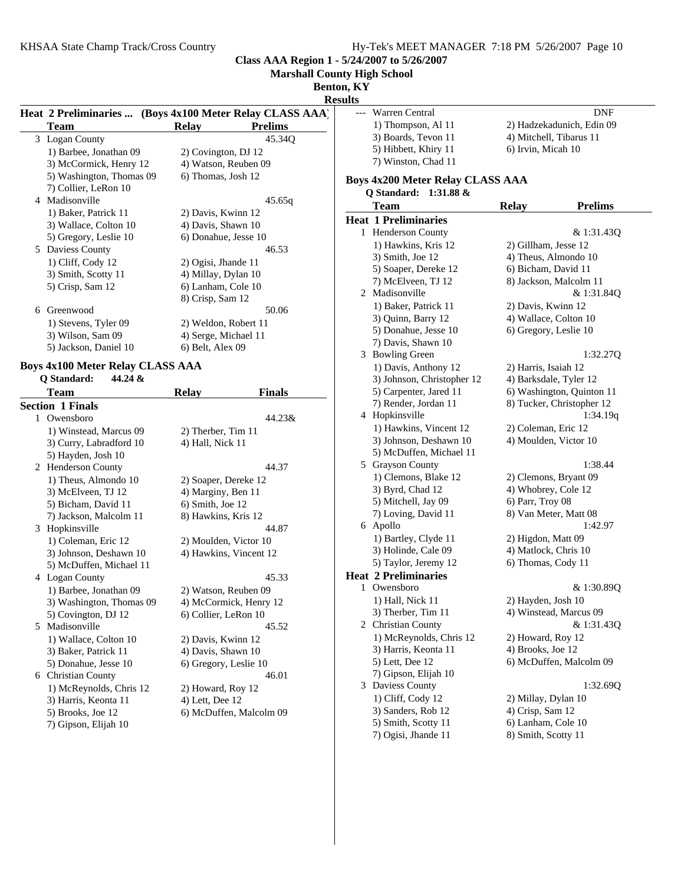**Marshall County High School**

**Benton, KY**

**Result** 

|   | Heat 2 Preliminaries  (Boys 4x100 Meter Relay CLASS AAA)    |                      |                      |
|---|-------------------------------------------------------------|----------------------|----------------------|
|   | Team                                                        | <b>Relay</b>         | <b>Prelims</b>       |
|   | 3 Logan County                                              |                      | 45.34O               |
|   | 1) Barbee, Jonathan 09                                      | 2) Covington, DJ 12  |                      |
|   | 3) McCormick, Henry 12                                      |                      | 4) Watson, Reuben 09 |
|   | 5) Washington, Thomas 09                                    | 6) Thomas, Josh 12   |                      |
|   | 7) Collier, LeRon 10                                        |                      |                      |
|   | 4 Madisonville                                              |                      | 45.65q               |
|   | 1) Baker, Patrick 11                                        | 2) Davis, Kwinn 12   |                      |
|   | 3) Wallace, Colton 10                                       | 4) Davis, Shawn 10   |                      |
|   | 5) Gregory, Leslie 10                                       | 6) Donahue, Jesse 10 |                      |
| 5 | Daviess County                                              |                      | 46.53                |
|   | 1) Cliff, Cody 12                                           | 2) Ogisi, Jhande 11  |                      |
|   | 3) Smith, Scotty 11                                         | 4) Millay, Dylan 10  |                      |
|   | 5) Crisp, Sam 12                                            | 6) Lanham, Cole 10   |                      |
|   |                                                             | 8) Crisp, Sam 12     |                      |
| 6 | Greenwood                                                   |                      | 50.06                |
|   | 1) Stevens, Tyler 09                                        |                      | 2) Weldon, Robert 11 |
|   | 3) Wilson, Sam 09                                           | 4) Serge, Michael 11 |                      |
|   | 5) Jackson, Daniel 10                                       | 6) Belt, Alex 09     |                      |
|   | $D_{\text{grav}}$ 4-100 Meter $D_{\text{el}}$ or CI ACC AAA |                      |                      |

#### **Boys 4x100 Meter Relay CLASS AAA Q Standard: 44.24 &**

|   | <b>Team</b>              | <b>Relay</b>           | <b>Finals</b>           |
|---|--------------------------|------------------------|-------------------------|
|   | <b>Section 1 Finals</b>  |                        |                         |
|   | 1 Owensboro              |                        | 44.23&                  |
|   | 1) Winstead, Marcus 09   | 2) Therber, Tim 11     |                         |
|   | 3) Curry, Labradford 10  | 4) Hall, Nick 11       |                         |
|   | 5) Hayden, Josh 10       |                        |                         |
| 2 | <b>Henderson County</b>  |                        | 44.37                   |
|   | 1) Theus, Almondo 10     | 2) Soaper, Dereke 12   |                         |
|   | 3) McElveen, TJ 12       | 4) Marginy, Ben 11     |                         |
|   | 5) Bicham, David 11      | 6) Smith, Joe 12       |                         |
|   | 7) Jackson, Malcolm 11   | 8) Hawkins, Kris 12    |                         |
| 3 | Hopkinsville             |                        | 44.87                   |
|   | 1) Coleman, Eric 12      | 2) Moulden, Victor 10  |                         |
|   | 3) Johnson, Deshawn 10   | 4) Hawkins, Vincent 12 |                         |
|   | 5) McDuffen, Michael 11  |                        |                         |
|   | 4 Logan County           |                        | 45.33                   |
|   | 1) Barbee, Jonathan 09   | 2) Watson, Reuben 09   |                         |
|   | 3) Washington, Thomas 09 |                        | 4) McCormick, Henry 12  |
|   | 5) Covington, DJ 12      | 6) Collier, LeRon 10   |                         |
| 5 | Madisonville             |                        | 45.52                   |
|   | 1) Wallace, Colton 10    | 2) Davis, Kwinn 12     |                         |
|   | 3) Baker, Patrick 11     | 4) Davis, Shawn 10     |                         |
|   | 5) Donahue, Jesse 10     | 6) Gregory, Leslie 10  |                         |
|   | 6 Christian County       |                        | 46.01                   |
|   | 1) McReynolds, Chris 12  | 2) Howard, Roy 12      |                         |
|   | 3) Harris, Keonta 11     | 4) Lett, Dee 12        |                         |
|   | 5) Brooks, Joe 12        |                        | 6) McDuffen, Malcolm 09 |
|   |                          |                        |                         |

7) Gipson, Elijah 10

| 1, IX 1<br>ılts |                                                 |                                              |                           |
|-----------------|-------------------------------------------------|----------------------------------------------|---------------------------|
| ---             | Warren Central                                  |                                              | DNF                       |
|                 | 1) Thompson, Al 11                              |                                              | 2) Hadzekadunich, Edin 09 |
|                 | 3) Boards, Tevon 11                             | 4) Mitchell, Tibarus 11                      |                           |
|                 | 5) Hibbett, Khiry 11                            | 6) Irvin, Micah 10                           |                           |
|                 | 7) Winston, Chad 11                             |                                              |                           |
|                 |                                                 |                                              |                           |
|                 | Boys 4x200 Meter Relay CLASS AAA                |                                              |                           |
|                 | Q Standard:<br>1:31.88 $&$<br><b>Team</b>       | <b>Relay</b>                                 | <b>Prelims</b>            |
|                 | <b>Heat 1 Preliminaries</b>                     |                                              |                           |
|                 | 1 Henderson County                              |                                              | & 1:31.43Q                |
|                 | 1) Hawkins, Kris 12                             | 2) Gillham, Jesse 12                         |                           |
|                 | 3) Smith, Joe 12                                | 4) Theus, Almondo 10                         |                           |
|                 | 5) Soaper, Dereke 12                            | 6) Bicham, David 11                          |                           |
|                 | 7) McElveen, TJ 12                              | 8) Jackson, Malcolm 11                       |                           |
| 2               | Madisonville                                    |                                              | & 1:31.84Q                |
|                 | 1) Baker, Patrick 11                            | 2) Davis, Kwinn 12                           |                           |
|                 | 3) Quinn, Barry 12                              | 4) Wallace, Colton 10                        |                           |
|                 | 5) Donahue, Jesse 10                            | 6) Gregory, Leslie 10                        |                           |
|                 | 7) Davis, Shawn 10                              |                                              |                           |
|                 | 3 Bowling Green                                 |                                              | 1:32.27Q                  |
|                 | 1) Davis, Anthony 12                            | 2) Harris, Isaiah 12                         |                           |
|                 | 3) Johnson, Christopher 12                      | 4) Barksdale, Tyler 12                       |                           |
|                 | 5) Carpenter, Jared 11                          |                                              | 6) Washington, Quinton 11 |
|                 | 7) Render, Jordan 11                            |                                              | 8) Tucker, Christopher 12 |
|                 | 4 Hopkinsville                                  |                                              | 1:34.19q                  |
|                 | 1) Hawkins, Vincent 12                          | 2) Coleman, Eric 12                          |                           |
|                 | 3) Johnson, Deshawn 10                          | 4) Moulden, Victor 10                        |                           |
|                 | 5) McDuffen, Michael 11                         |                                              |                           |
|                 | 5 Grayson County                                |                                              | 1:38.44                   |
|                 |                                                 |                                              |                           |
|                 | 1) Clemons, Blake 12<br>3) Byrd, Chad 12        | 2) Clemons, Bryant 09<br>4) Whobrey, Cole 12 |                           |
|                 | 5) Mitchell, Jay 09                             | 6) Parr, Troy 08                             |                           |
|                 | 7) Loving, David 11                             | 8) Van Meter, Matt 08                        |                           |
|                 | 6 Apollo                                        |                                              | 1:42.97                   |
|                 | 1) Bartley, Clyde 11                            | 2) Higdon, Matt 09                           |                           |
|                 | 3) Holinde, Cale 09                             | 4) Matlock, Chris 10                         |                           |
|                 | 5) Taylor, Jeremy 12                            | 6) Thomas, Cody 11                           |                           |
|                 | <b>Heat 2 Preliminaries</b>                     |                                              |                           |
|                 | 1 Owensboro                                     |                                              | & 1:30.89Q                |
|                 | 1) Hall, Nick 11                                | 2) Hayden, Josh 10                           |                           |
|                 | 3) Therber, Tim 11                              | 4) Winstead, Marcus 09                       |                           |
|                 |                                                 |                                              | & 1:31.43Q                |
|                 | 2 Christian County                              |                                              |                           |
|                 | 1) McReynolds, Chris 12<br>3) Harris, Keonta 11 | 2) Howard, Roy 12<br>4) Brooks, Joe 12       |                           |
|                 |                                                 |                                              |                           |
|                 | 5) Lett, Dee 12                                 |                                              | 6) McDuffen, Malcolm 09   |
|                 | 7) Gipson, Elijah 10                            |                                              | 1:32.69Q                  |
|                 | 3 Daviess County                                |                                              |                           |
|                 | 1) Cliff, Cody 12                               | 2) Millay, Dylan 10                          |                           |
|                 | 3) Sanders, Rob 12                              | 4) Crisp, Sam 12                             |                           |

- 5) Smith, Scotty 11 6) Lanham, Cole 10
- 7) Ogisi, Jhande 11 8) Smith, Scotty 11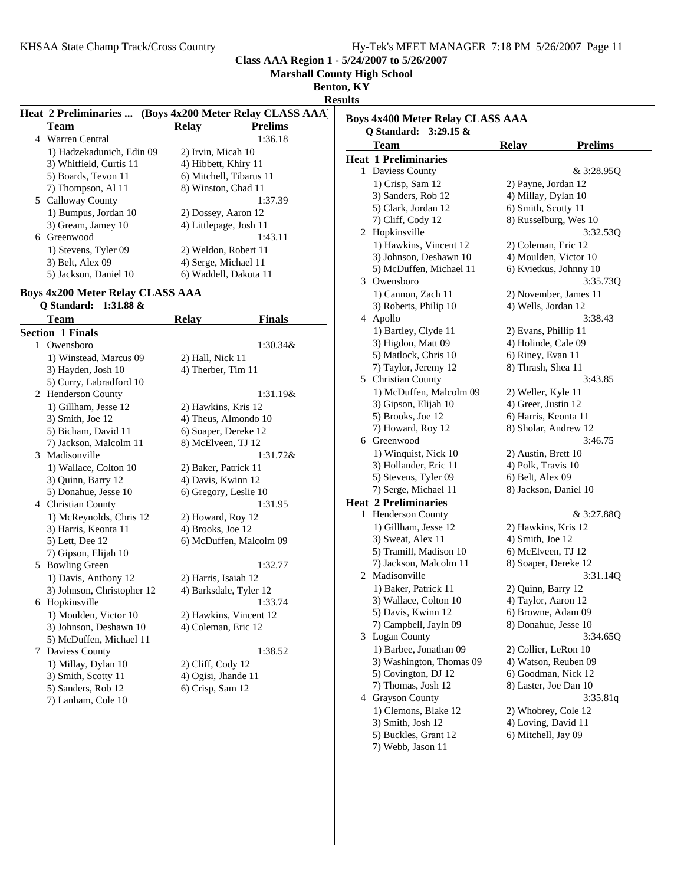**Marshall County High School**

**Benton, KY**

**Results**

|   |                                                                        | Heat 2 Preliminaries  (Boys 4x200 Meter Relay CLASS AAA) |
|---|------------------------------------------------------------------------|----------------------------------------------------------|
|   | <b>Team</b>                                                            | <b>Prelims</b><br><b>Relay</b>                           |
| 4 | <b>Warren Central</b>                                                  | 1:36.18                                                  |
|   | 1) Hadzekadunich, Edin 09                                              | 2) Irvin, Micah 10                                       |
|   | 3) Whitfield, Curtis 11                                                | 4) Hibbett, Khiry 11                                     |
|   | 5) Boards, Tevon 11                                                    | 6) Mitchell, Tibarus 11                                  |
|   | 7) Thompson, Al 11                                                     | 8) Winston, Chad 11                                      |
|   | 5 Calloway County                                                      | 1:37.39                                                  |
|   | 1) Bumpus, Jordan 10                                                   | 2) Dossey, Aaron 12                                      |
|   | 3) Gream, Jamey 10                                                     | 4) Littlepage, Josh 11                                   |
| 6 | Greenwood                                                              | 1:43.11                                                  |
|   | 1) Stevens, Tyler 09                                                   | 2) Weldon, Robert 11                                     |
|   | 3) Belt, Alex 09                                                       | 4) Serge, Michael 11                                     |
|   | 5) Jackson, Daniel 10                                                  | 6) Waddell, Dakota 11                                    |
|   |                                                                        |                                                          |
|   | <b>Boys 4x200 Meter Relay CLASS AAA</b><br>Q Standard:<br>$1:31.88 \&$ |                                                          |
|   | <b>Team</b>                                                            | <b>Relay</b><br><b>Finals</b>                            |
|   | <b>Section 1 Finals</b>                                                |                                                          |
| 1 | Owensboro                                                              | 1:30.34&                                                 |
|   | 1) Winstead, Marcus 09                                                 | 2) Hall, Nick 11                                         |
|   | 3) Hayden, Josh 10                                                     | 4) Therber, Tim 11                                       |
|   | 5) Curry, Labradford 10                                                |                                                          |
|   | 2 Henderson County                                                     | 1:31.19&                                                 |
|   | 1) Gillham, Jesse 12                                                   | 2) Hawkins, Kris 12                                      |
|   | 3) Smith, Joe 12                                                       | 4) Theus, Almondo 10                                     |
|   | 5) Bicham, David 11                                                    | 6) Soaper, Dereke 12                                     |
|   | 7) Jackson, Malcolm 11                                                 | 8) McElveen, TJ 12                                       |
| 3 | Madisonville                                                           | 1:31.72&                                                 |
|   | 1) Wallace, Colton 10                                                  | 2) Baker, Patrick 11                                     |
|   | 3) Quinn, Barry 12                                                     | 4) Davis, Kwinn 12                                       |
|   | 5) Donahue, Jesse 10                                                   | 6) Gregory, Leslie 10                                    |
|   | 4 Christian County                                                     | 1:31.95                                                  |
|   | 1) McReynolds, Chris 12                                                | 2) Howard, Roy 12                                        |
|   | 3) Harris, Keonta 11                                                   | 4) Brooks, Joe 12                                        |
|   | 5) Lett, Dee 12                                                        | 6) McDuffen, Malcolm 09                                  |
|   | 7) Gipson, Elijah 10                                                   |                                                          |
| 5 | <b>Bowling Green</b>                                                   | 1:32.77                                                  |
|   | 1) Davis, Anthony 12                                                   | 2) Harris, Isaiah 12                                     |
|   | 3) Johnson, Christopher 12                                             | 4) Barksdale, Tyler 12                                   |
| 6 | Hopkinsville                                                           | 1:33.74                                                  |
|   | 1) Moulden, Victor 10                                                  | 2) Hawkins, Vincent 12                                   |
|   | 3) Johnson, Deshawn 10                                                 | 4) Coleman, Eric 12                                      |
|   | 5) McDuffen, Michael 11                                                |                                                          |
| 7 | Daviess County                                                         | 1:38.52                                                  |
|   | 1) Millay, Dylan 10                                                    | 2) Cliff, Cody 12                                        |
|   | 3) Smith, Scotty 11                                                    | 4) Ogisi, Jhande 11                                      |
|   | 5) Sanders, Rob 12                                                     | 6) Crisp, Sam 12                                         |
|   | 7) Lanham, Cole 10                                                     |                                                          |

| Boys 4x400 Meter Relay CLASS AAA |                             |                      |                        |  |
|----------------------------------|-----------------------------|----------------------|------------------------|--|
|                                  | Q Standard:<br>$3:29.15 \&$ |                      |                        |  |
|                                  | <b>Team</b>                 | <b>Relay</b>         | <b>Prelims</b>         |  |
|                                  | <b>Heat 1 Preliminaries</b> |                      |                        |  |
|                                  | 1 Daviess County            |                      | & 3:28.95Q             |  |
|                                  | $1)$ Crisp, Sam $12$        | 2) Payne, Jordan 12  |                        |  |
|                                  | 3) Sanders, Rob 12          | 4) Millay, Dylan 10  |                        |  |
|                                  | 5) Clark, Jordan 12         | 6) Smith, Scotty 11  |                        |  |
|                                  | 7) Cliff, Cody 12           |                      | 8) Russelburg, Wes 10  |  |
|                                  | 2 Hopkinsville              |                      | 3:32.53Q               |  |
|                                  | 1) Hawkins, Vincent 12      | 2) Coleman, Eric 12  |                        |  |
|                                  | 3) Johnson, Deshawn 10      |                      | 4) Moulden, Victor 10  |  |
|                                  | 5) McDuffen, Michael 11     |                      | 6) Kvietkus, Johnny 10 |  |
| 3                                | Owensboro                   |                      | 3:35.73Q               |  |
|                                  | 1) Cannon, Zach 11          |                      | 2) November, James 11  |  |
|                                  | 3) Roberts, Philip 10       | 4) Wells, Jordan 12  |                        |  |
|                                  | 4 Apollo                    |                      | 3:38.43                |  |
|                                  | 1) Bartley, Clyde 11        | 2) Evans, Phillip 11 |                        |  |
|                                  | 3) Higdon, Matt 09          | 4) Holinde, Cale 09  |                        |  |
|                                  | 5) Matlock, Chris 10        | 6) Riney, Evan 11    |                        |  |
|                                  | 7) Taylor, Jeremy 12        | 8) Thrash, Shea 11   |                        |  |
| 5                                | <b>Christian County</b>     |                      | 3:43.85                |  |
|                                  | 1) McDuffen, Malcolm 09     | 2) Weller, Kyle 11   |                        |  |
|                                  | 3) Gipson, Elijah 10        | 4) Greer, Justin 12  |                        |  |
|                                  | 5) Brooks, Joe 12           | 6) Harris, Keonta 11 |                        |  |
|                                  | 7) Howard, Roy 12           |                      | 8) Sholar, Andrew 12   |  |
|                                  | 6 Greenwood                 |                      | 3:46.75                |  |
|                                  | 1) Winquist, Nick 10        | 2) Austin, Brett 10  |                        |  |
|                                  | 3) Hollander, Eric 11       | 4) Polk, Travis 10   |                        |  |
|                                  | 5) Stevens, Tyler 09        | 6) Belt, Alex 09     |                        |  |
|                                  | 7) Serge, Michael 11        |                      | 8) Jackson, Daniel 10  |  |
|                                  | <b>Heat 2 Preliminaries</b> |                      |                        |  |
| 1                                | Henderson County            |                      | & 3:27.88Q             |  |
|                                  | 1) Gillham, Jesse 12        | 2) Hawkins, Kris 12  |                        |  |
|                                  | 3) Sweat, Alex 11           | 4) Smith, Joe 12     |                        |  |
|                                  | 5) Tramill, Madison 10      | 6) McElveen, TJ 12   |                        |  |
|                                  | 7) Jackson, Malcolm 11      | 8) Soaper, Dereke 12 |                        |  |
| 2                                | Madisonville                |                      | 3:31.14Q               |  |
|                                  | 1) Baker, Patrick 11        | 2) Quinn, Barry 12   |                        |  |
|                                  | 3) Wallace, Colton 10       | 4) Taylor, Aaron 12  |                        |  |
|                                  | 5) Davis, Kwinn 12          | 6) Browne, Adam 09   |                        |  |
|                                  | 7) Campbell, Jayln 09       |                      | 8) Donahue, Jesse 10   |  |
| 3                                | <b>Logan County</b>         |                      | 3:34.65Q               |  |
|                                  | 1) Barbee, Jonathan 09      | 2) Collier, LeRon 10 |                        |  |
|                                  | 3) Washington, Thomas 09    |                      | 4) Watson, Reuben 09   |  |
|                                  | 5) Covington, DJ 12         |                      | 6) Goodman, Nick 12    |  |
|                                  | 7) Thomas, Josh 12          |                      | 8) Laster, Joe Dan 10  |  |
| 4                                | <b>Grayson County</b>       |                      | 3:35.81q               |  |
|                                  | 1) Clemons, Blake 12        | 2) Whobrey, Cole 12  |                        |  |
|                                  | 3) Smith, Josh 12           | 4) Loving, David 11  |                        |  |
|                                  | 5) Buckles, Grant 12        | 6) Mitchell, Jay 09  |                        |  |
|                                  | 7) Webb, Jason 11           |                      |                        |  |